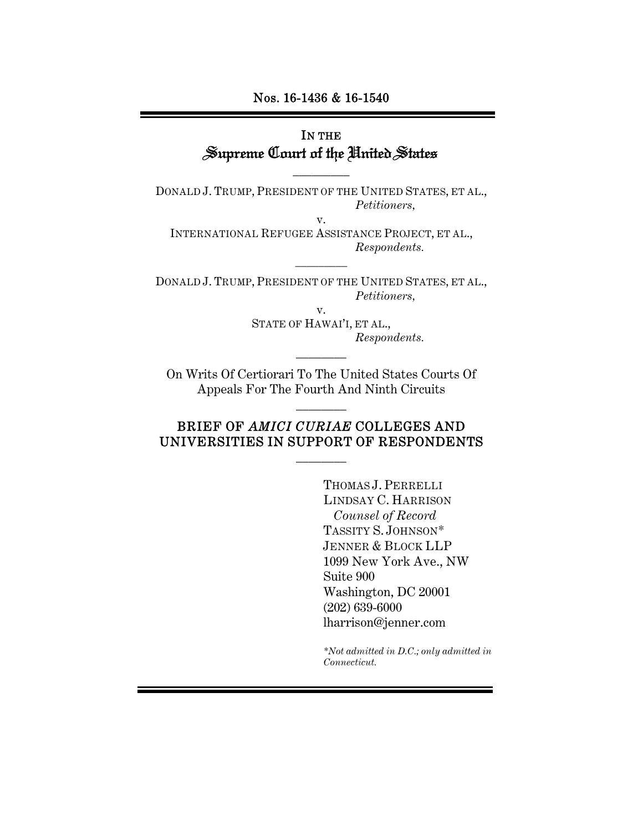#### Nos. 16-1436 & 16-1540

# IN THE Supreme Court of the United States

DONALD J. TRUMP, PRESIDENT OF THE UNITED STATES, ET AL., *Petitioners,* 

 $\overline{\phantom{a}}$  . The set of  $\overline{\phantom{a}}$ 

v. INTERNATIONAL REFUGEE ASSISTANCE PROJECT, ET AL., *Respondents.* 

\_\_\_\_\_\_\_\_\_

DONALD J. TRUMP, PRESIDENT OF THE UNITED STATES, ET AL., *Petitioners,* 

> v. STATE OF HAWAI'I, ET AL., *Respondents.*

On Writs Of Certiorari To The United States Courts Of Appeals For The Fourth And Ninth Circuits

 $\overline{\phantom{a}}$   $\overline{\phantom{a}}$ 

 $\overline{\phantom{a}}$   $\overline{\phantom{a}}$ 

# BRIEF OF *AMICI CURIAE* COLLEGES AND UNIVERSITIES IN SUPPORT OF RESPONDENTS

 $\overline{\phantom{a}}$   $\overline{\phantom{a}}$ 

THOMAS J. PERRELLI LINDSAY C. HARRISON *Counsel of Record*  TASSITY S. JOHNSON\* JENNER & BLOCK LLP 1099 New York Ave., NW Suite 900 Washington, DC 20001 (202) 639-6000 lharrison@jenner.com

*\*Not admitted in D.C.; only admitted in Connecticut.*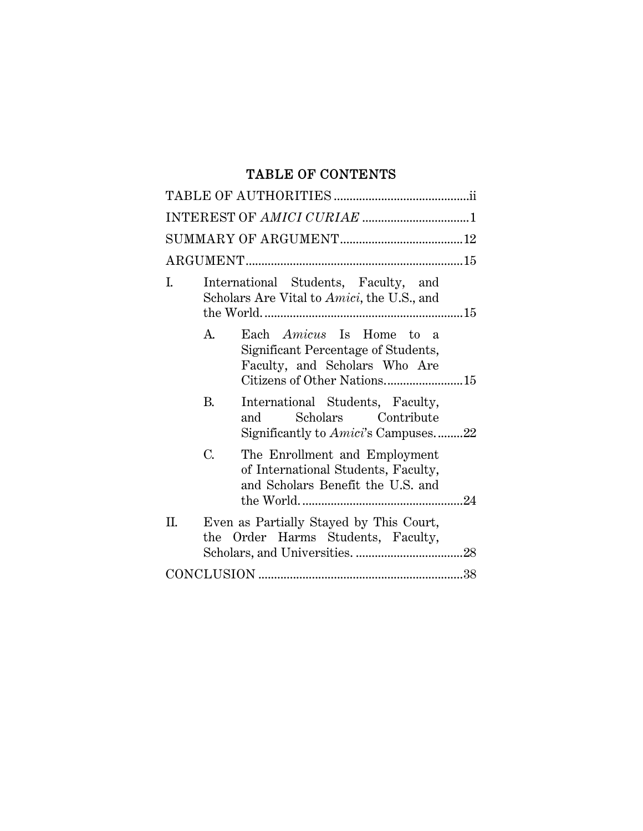# TABLE OF CONTENTS

| L.<br>International Students, Faculty, and<br>Scholars Are Vital to Amici, the U.S., and                            |
|---------------------------------------------------------------------------------------------------------------------|
| A.<br>Each Amicus Is Home to a<br>Significant Percentage of Students,<br>Faculty, and Scholars Who Are              |
| B.<br>International Students, Faculty,<br>Scholars Contribute<br>and<br>Significantly to <i>Amici</i> 's Campuses22 |
| C.<br>The Enrollment and Employment<br>of International Students, Faculty,<br>and Scholars Benefit the U.S. and     |
| Even as Partially Stayed by This Court,<br>П.<br>the Order Harms Students, Faculty,                                 |
|                                                                                                                     |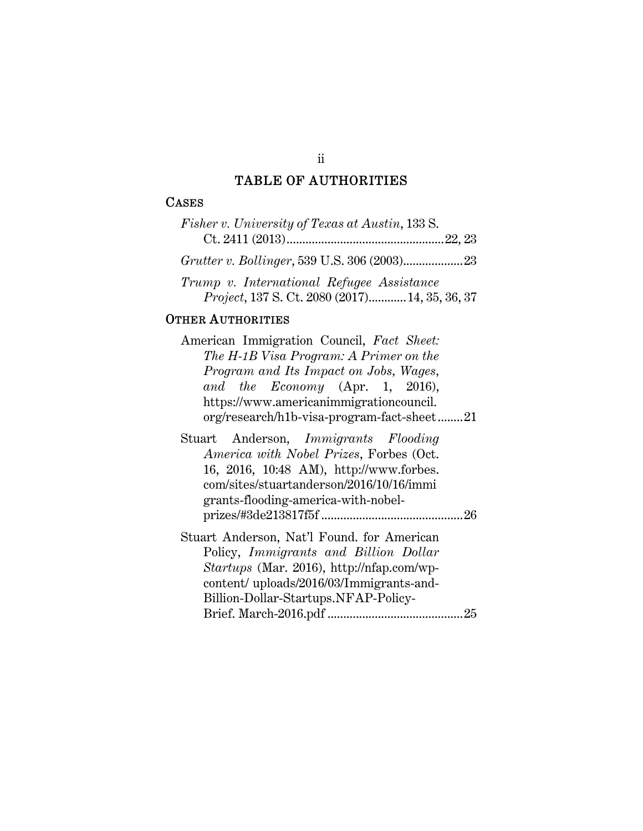# TABLE OF AUTHORITIES

#### **CASES**

| Fisher v. University of Texas at Austin, 133 S.                                             |  |
|---------------------------------------------------------------------------------------------|--|
|                                                                                             |  |
|                                                                                             |  |
| Trump v. International Refugee Assistance<br>Project, 137 S. Ct. 2080 (2017) 14, 35, 36, 37 |  |

### OTHER AUTHORITIES

| American Immigration Council, Fact Sheet:  |  |
|--------------------------------------------|--|
| The H-1B Visa Program: A Primer on the     |  |
| Program and Its Impact on Jobs, Wages,     |  |
| and the Economy (Apr. 1, 2016),            |  |
| https://www.americanimmigrationcouncil.    |  |
| org/research/h1b-visa-program-fact-sheet21 |  |

|  | Stuart Anderson, Immigrants Flooding     |  |
|--|------------------------------------------|--|
|  | America with Nobel Prizes, Forbes (Oct.  |  |
|  | 16, 2016, 10:48 AM), http://www.forbes.  |  |
|  | com/sites/stuartanderson/2016/10/16/immi |  |
|  | grants-flooding-america-with-nobel-      |  |
|  |                                          |  |

Stuart Anderson, Nat'l Found. for American Policy, *Immigrants and Billion Dollar Startups* (Mar. 2016), http://nfap.com/wpcontent/ uploads/2016/03/Immigrants-and-Billion-Dollar-Startups.NFAP-Policy-Brief. March-2016.pdf ........................................... 25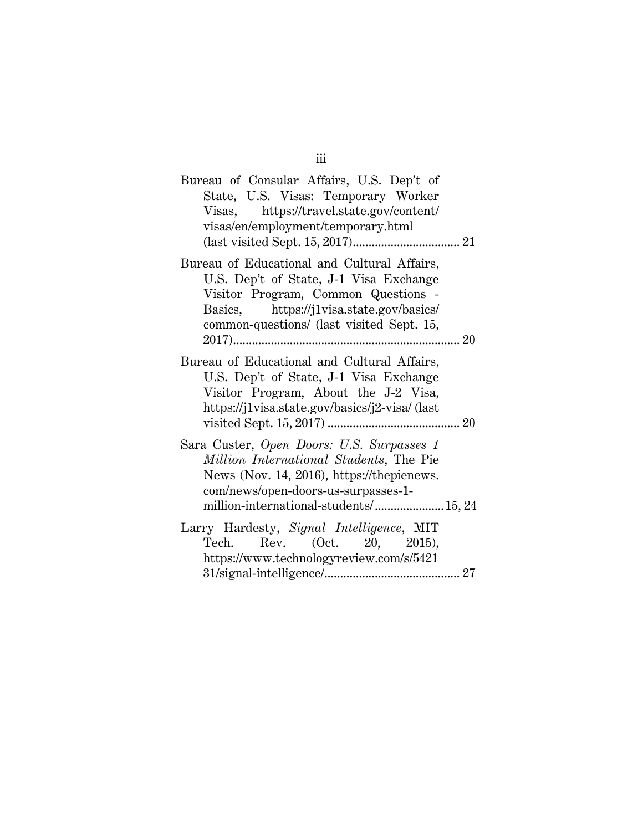| Bureau of Consular Affairs, U.S. Dep't of<br>State, U.S. Visas: Temporary Worker<br>Visas, https://travel.state.gov/content/<br>visas/en/employment/temporary.html                                                    |  |
|-----------------------------------------------------------------------------------------------------------------------------------------------------------------------------------------------------------------------|--|
|                                                                                                                                                                                                                       |  |
| Bureau of Educational and Cultural Affairs,<br>U.S. Dep't of State, J-1 Visa Exchange<br>Visitor Program, Common Questions -<br>Basics, https://j1visa.state.gov/basics/<br>common-questions/ (last visited Sept. 15, |  |
|                                                                                                                                                                                                                       |  |
| Bureau of Educational and Cultural Affairs,<br>U.S. Dep't of State, J-1 Visa Exchange<br>Visitor Program, About the J-2 Visa,<br>https://j1visa.state.gov/basics/j2-visa/ (last                                       |  |
| Sara Custer, Open Doors: U.S. Surpasses 1<br>Million International Students, The Pie<br>News (Nov. 14, 2016), https://thepienews.<br>com/news/open-doors-us-surpasses-1-<br>million-international-students/ 15, 24    |  |
| Larry Hardesty, Signal Intelligence, MIT<br>Tech. Rev. $(Oct. 20, 2015)$ ,                                                                                                                                            |  |
| https://www.technologyreview.com/s/5421                                                                                                                                                                               |  |

iii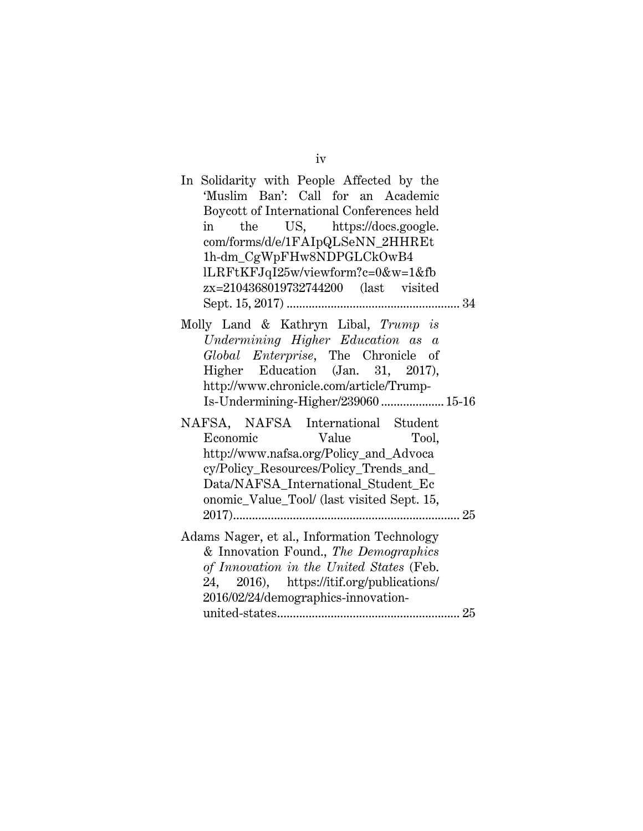| In Solidarity with People Affected by the<br>'Muslim Ban': Call for an Academic<br>Boycott of International Conferences held<br>the US, https://docs.google.<br>in<br>com/forms/d/e/1FAIpQLSeNN_2HHREt<br>1h-dm_CgWpFHw8NDPGLCkOwB4<br>lLRFtKFJqI25w/viewform?c=0&w=1&fb<br>zx=2104368019732744200 (last visited |  |
|------------------------------------------------------------------------------------------------------------------------------------------------------------------------------------------------------------------------------------------------------------------------------------------------------------------|--|
| Molly Land & Kathryn Libal, Trump is<br>Undermining Higher Education as a<br>Global Enterprise, The Chronicle of<br>Higher Education (Jan. 31, 2017),<br>http://www.chronicle.com/article/Trump-<br>Is-Undermining-Higher/239060  15-16                                                                          |  |
| NAFSA, NAFSA International Student<br>Economic<br><b>Value</b><br>Tool,<br>http://www.nafsa.org/Policy_and_Advoca<br>cy/Policy_Resources/Policy_Trends_and_<br>Data/NAFSA_International_Student_Ec<br>onomic_Value_Tool/ (last visited Sept. 15,                                                                 |  |
| Adams Nager, et al., Information Technology<br>& Innovation Found., The Demographics<br>of Innovation in the United States (Feb.<br>24, 2016), https://itif.org/publications/<br>2016/02/24/demographics-innovation-                                                                                             |  |
|                                                                                                                                                                                                                                                                                                                  |  |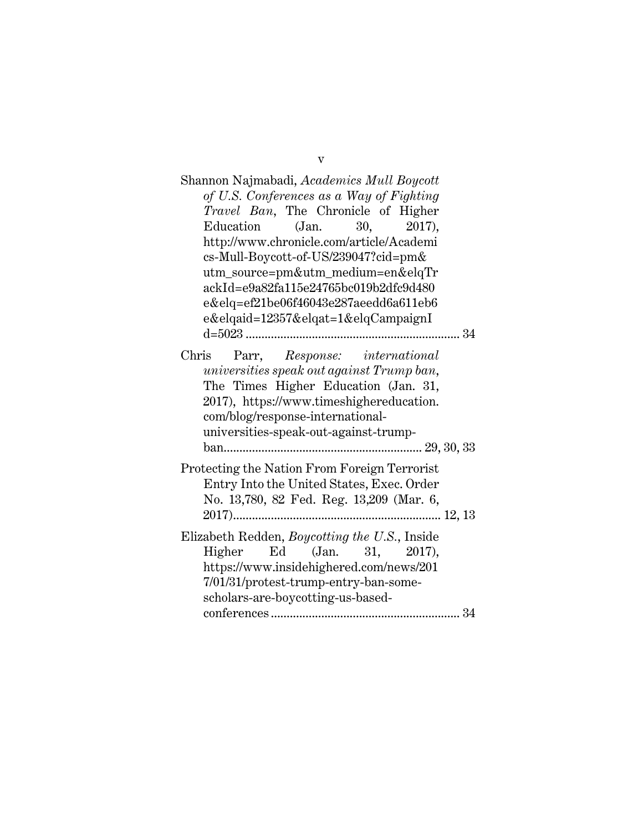| Shannon Najmabadi, <i>Academics Mull Boycott</i>                                       |
|----------------------------------------------------------------------------------------|
| of U.S. Conferences as a Way of Fighting                                               |
| Travel Ban, The Chronicle of Higher                                                    |
| (Jan. 30, 2017),<br>Education                                                          |
| http://www.chronicle.com/article/Academi                                               |
| cs-Mull-Boycott-of-US/239047?cid=pm&                                                   |
| utm_source=pm&utm_medium=en&elqTr                                                      |
| ackId=e9a82fa115e24765bc019b2dfc9d480                                                  |
| e&elq=ef21be06f46043e287aeedd6a611eb6                                                  |
| $e\&elqaid = 12357\&elqat = 1\&elqCampaignI$                                           |
|                                                                                        |
| Parr, Response: international<br>Chris                                                 |
| universities speak out against Trump ban,                                              |
| The Times Higher Education (Jan. 31,                                                   |
| 2017), https://www.timeshighereducation.                                               |
| com/blog/response-international-                                                       |
| universities-speak-out-against-trump-                                                  |
|                                                                                        |
| Protecting the Nation From Foreign Terrorist                                           |
| Entry Into the United States, Exec. Order                                              |
| No. 13,780, 82 Fed. Reg. 13,209 (Mar. 6,                                               |
|                                                                                        |
|                                                                                        |
| Elizabeth Redden, <i>Boycotting the U.S.</i> , Inside<br>Ed (Jan. 31, 2017),<br>Higher |
| https://www.insidehighered.com/news/201                                                |
| 7/01/31/protest-trump-entry-ban-some-                                                  |
| scholars-are-boycotting-us-based-                                                      |
|                                                                                        |
|                                                                                        |

v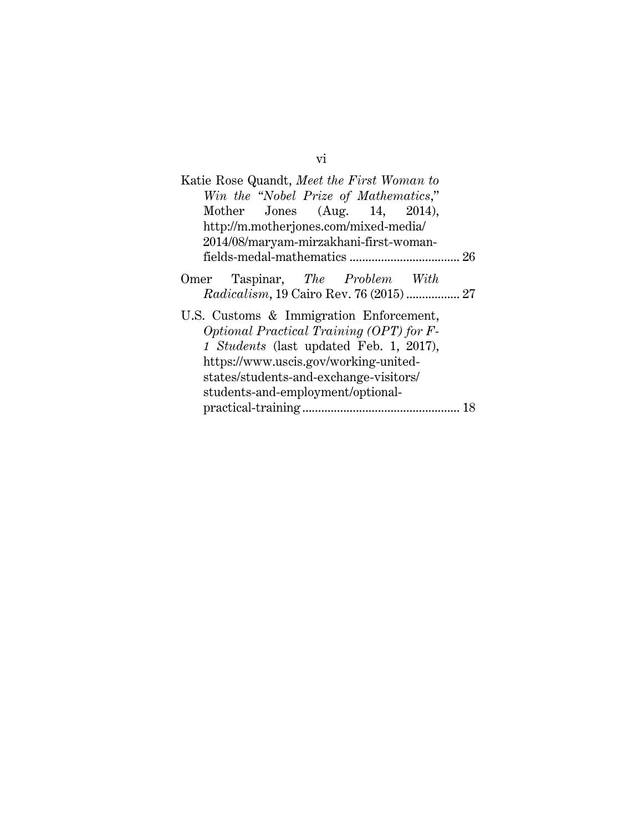| Katie Rose Quandt, Meet the First Woman to      |
|-------------------------------------------------|
| Win the "Nobel Prize of Mathematics,"           |
| Mother Jones $(Aug. 14, 2014)$ ,                |
| http://m.motherjones.com/mixed-media/           |
| 2014/08/maryam-mirzakhani-first-woman-          |
|                                                 |
| Omer Taspinar, The Problem With                 |
| <i>Radicalism</i> , 19 Cairo Rev. 76 (2015)  27 |
| U.S. Customs & Immigration Enforcement,         |
| Optional Practical Training (OPT) for F-        |
| 1 Students (last updated Feb. 1, 2017),         |
| https://www.uscis.gov/working-united-           |
| states/students-and-exchange-visitors/          |
| students-and-employment/optional-               |
|                                                 |

vi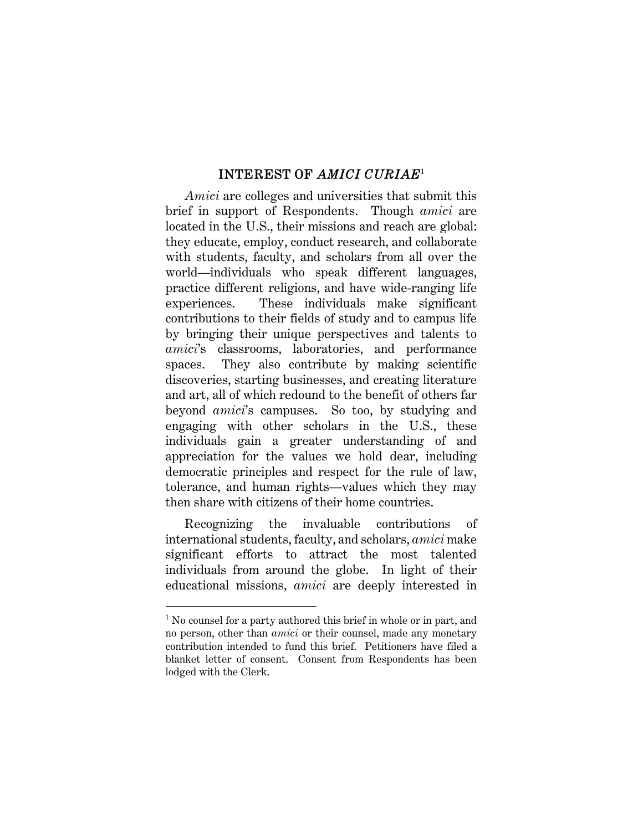### INTEREST OF *AMICI CURIAE*<sup>1</sup>

*Amici* are colleges and universities that submit this brief in support of Respondents. Though *amici* are located in the U.S., their missions and reach are global: they educate, employ, conduct research, and collaborate with students, faculty, and scholars from all over the world—individuals who speak different languages, practice different religions, and have wide-ranging life experiences. These individuals make significant contributions to their fields of study and to campus life by bringing their unique perspectives and talents to *amici*'s classrooms, laboratories, and performance spaces. They also contribute by making scientific discoveries, starting businesses, and creating literature and art, all of which redound to the benefit of others far beyond *amici*'s campuses. So too, by studying and engaging with other scholars in the U.S., these individuals gain a greater understanding of and appreciation for the values we hold dear, including democratic principles and respect for the rule of law, tolerance, and human rights—values which they may then share with citizens of their home countries.

Recognizing the invaluable contributions of international students, faculty, and scholars, *amici* make significant efforts to attract the most talented individuals from around the globe. In light of their educational missions, *amici* are deeply interested in

<sup>&</sup>lt;sup>1</sup> No counsel for a party authored this brief in whole or in part, and no person, other than *amici* or their counsel, made any monetary contribution intended to fund this brief. Petitioners have filed a blanket letter of consent. Consent from Respondents has been lodged with the Clerk.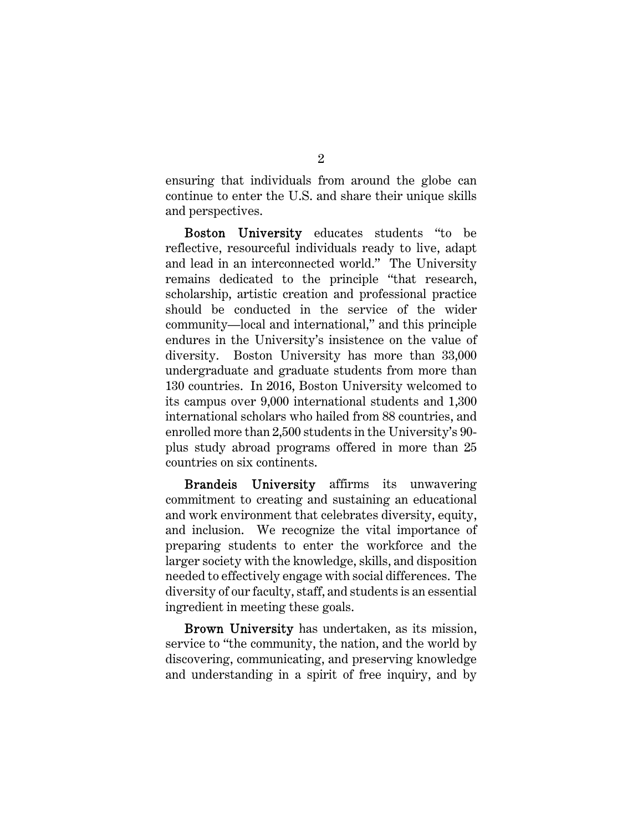ensuring that individuals from around the globe can continue to enter the U.S. and share their unique skills and perspectives.

Boston University educates students "to be reflective, resourceful individuals ready to live, adapt and lead in an interconnected world." The University remains dedicated to the principle "that research, scholarship, artistic creation and professional practice should be conducted in the service of the wider community—local and international," and this principle endures in the University's insistence on the value of diversity. Boston University has more than 33,000 undergraduate and graduate students from more than 130 countries. In 2016, Boston University welcomed to its campus over 9,000 international students and 1,300 international scholars who hailed from 88 countries, and enrolled more than 2,500 students in the University's 90 plus study abroad programs offered in more than 25 countries on six continents.

Brandeis University affirms its unwavering commitment to creating and sustaining an educational and work environment that celebrates diversity, equity, and inclusion. We recognize the vital importance of preparing students to enter the workforce and the larger society with the knowledge, skills, and disposition needed to effectively engage with social differences. The diversity of our faculty, staff, and students is an essential ingredient in meeting these goals.

Brown University has undertaken, as its mission, service to "the community, the nation, and the world by discovering, communicating, and preserving knowledge and understanding in a spirit of free inquiry, and by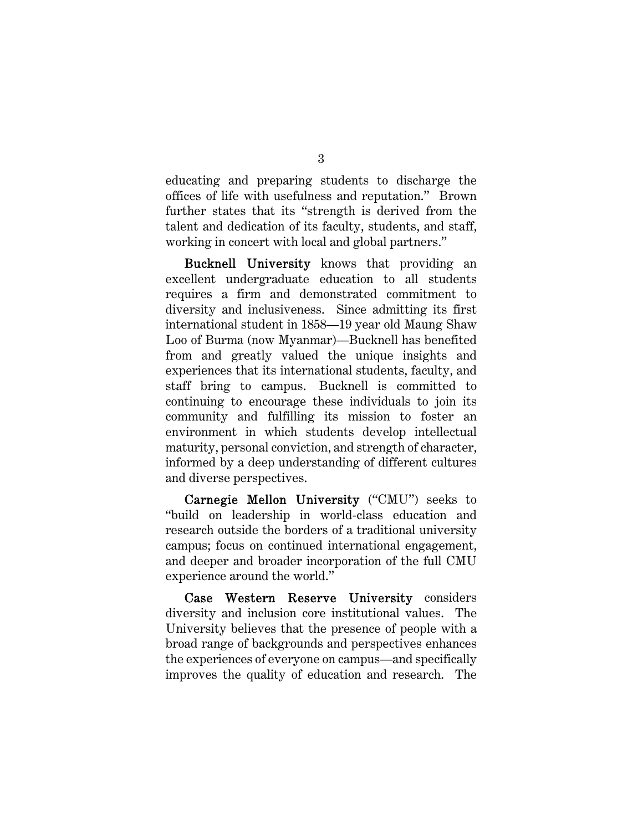educating and preparing students to discharge the offices of life with usefulness and reputation." Brown further states that its "strength is derived from the talent and dedication of its faculty, students, and staff, working in concert with local and global partners."

Bucknell University knows that providing an excellent undergraduate education to all students requires a firm and demonstrated commitment to diversity and inclusiveness. Since admitting its first international student in 1858—19 year old Maung Shaw Loo of Burma (now Myanmar)—Bucknell has benefited from and greatly valued the unique insights and experiences that its international students, faculty, and staff bring to campus. Bucknell is committed to continuing to encourage these individuals to join its community and fulfilling its mission to foster an environment in which students develop intellectual maturity, personal conviction, and strength of character, informed by a deep understanding of different cultures and diverse perspectives.

Carnegie Mellon University ("CMU") seeks to "build on leadership in world-class education and research outside the borders of a traditional university campus; focus on continued international engagement, and deeper and broader incorporation of the full CMU experience around the world."

Case Western Reserve University considers diversity and inclusion core institutional values. The University believes that the presence of people with a broad range of backgrounds and perspectives enhances the experiences of everyone on campus—and specifically improves the quality of education and research. The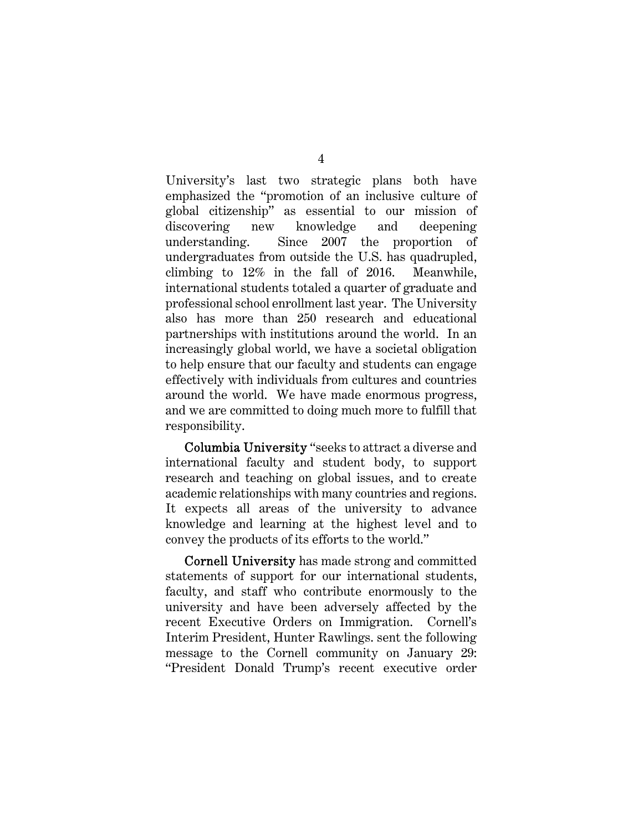University's last two strategic plans both have emphasized the "promotion of an inclusive culture of global citizenship" as essential to our mission of discovering new knowledge and deepening understanding. Since 2007 the proportion of undergraduates from outside the U.S. has quadrupled, climbing to 12% in the fall of 2016. Meanwhile, international students totaled a quarter of graduate and professional school enrollment last year. The University also has more than 250 research and educational partnerships with institutions around the world. In an increasingly global world, we have a societal obligation to help ensure that our faculty and students can engage effectively with individuals from cultures and countries around the world. We have made enormous progress, and we are committed to doing much more to fulfill that responsibility.

Columbia University "seeks to attract a diverse and international faculty and student body, to support research and teaching on global issues, and to create academic relationships with many countries and regions. It expects all areas of the university to advance knowledge and learning at the highest level and to convey the products of its efforts to the world."

Cornell University has made strong and committed statements of support for our international students, faculty, and staff who contribute enormously to the university and have been adversely affected by the recent Executive Orders on Immigration. Cornell's Interim President, Hunter Rawlings. sent the following message to the Cornell community on January 29: "President Donald Trump's recent executive order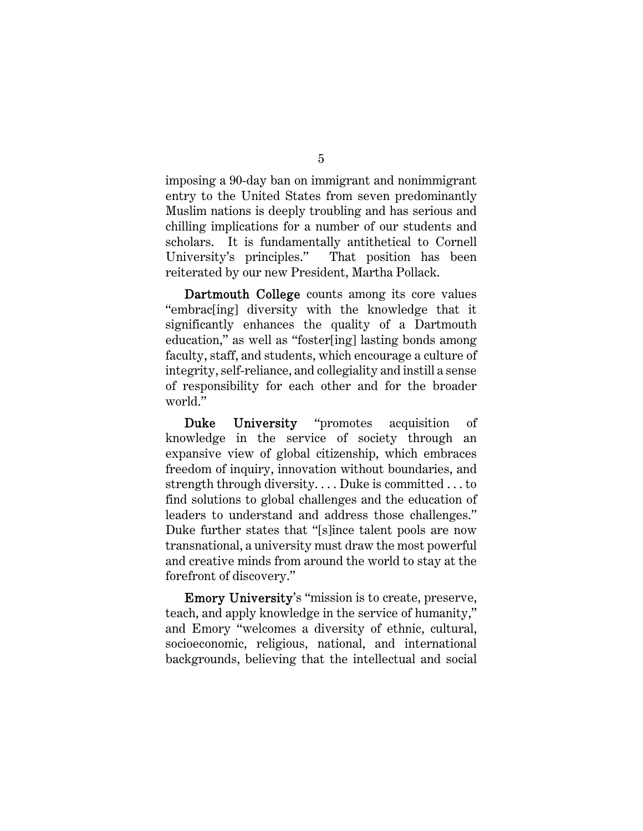imposing a 90-day ban on immigrant and nonimmigrant entry to the United States from seven predominantly Muslim nations is deeply troubling and has serious and chilling implications for a number of our students and scholars. It is fundamentally antithetical to Cornell University's principles." That position has been reiterated by our new President, Martha Pollack.

Dartmouth College counts among its core values "embrac[ing] diversity with the knowledge that it significantly enhances the quality of a Dartmouth education," as well as "foster[ing] lasting bonds among faculty, staff, and students, which encourage a culture of integrity, self-reliance, and collegiality and instill a sense of responsibility for each other and for the broader world."

Duke University "promotes acquisition of knowledge in the service of society through an expansive view of global citizenship, which embraces freedom of inquiry, innovation without boundaries, and strength through diversity. . . . Duke is committed . . . to find solutions to global challenges and the education of leaders to understand and address those challenges." Duke further states that "[s]ince talent pools are now transnational, a university must draw the most powerful and creative minds from around the world to stay at the forefront of discovery."

Emory University's "mission is to create, preserve, teach, and apply knowledge in the service of humanity," and Emory "welcomes a diversity of ethnic, cultural, socioeconomic, religious, national, and international backgrounds, believing that the intellectual and social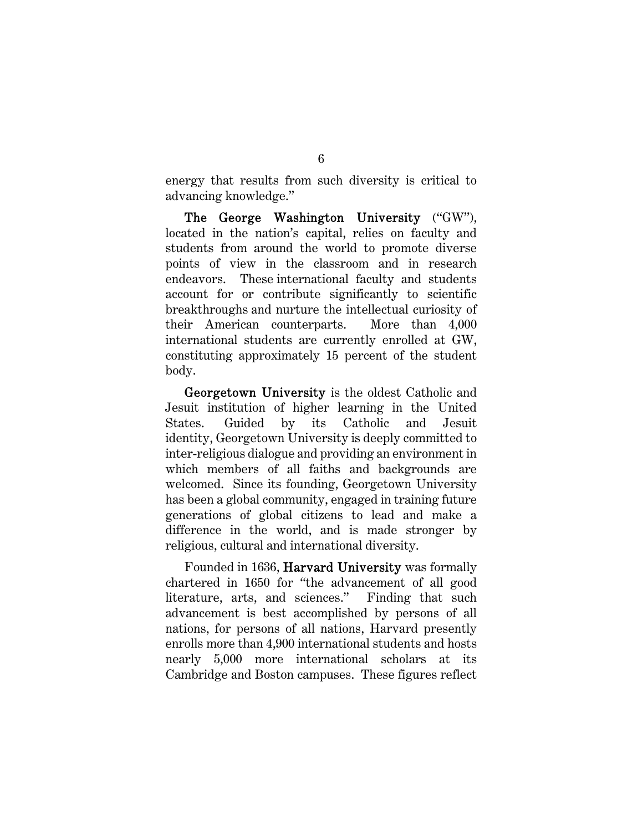energy that results from such diversity is critical to advancing knowledge."

The George Washington University ("GW"), located in the nation's capital, relies on faculty and students from around the world to promote diverse points of view in the classroom and in research endeavors. These international faculty and students account for or contribute significantly to scientific breakthroughs and nurture the intellectual curiosity of their American counterparts. More than 4,000 international students are currently enrolled at GW, constituting approximately 15 percent of the student body.

Georgetown University is the oldest Catholic and Jesuit institution of higher learning in the United States. Guided by its Catholic and Jesuit identity, Georgetown University is deeply committed to inter-religious dialogue and providing an environment in which members of all faiths and backgrounds are welcomed. Since its founding, Georgetown University has been a global community, engaged in training future generations of global citizens to lead and make a difference in the world, and is made stronger by religious, cultural and international diversity.

Founded in 1636, Harvard University was formally chartered in 1650 for "the advancement of all good literature, arts, and sciences." Finding that such advancement is best accomplished by persons of all nations, for persons of all nations, Harvard presently enrolls more than 4,900 international students and hosts nearly 5,000 more international scholars at its Cambridge and Boston campuses. These figures reflect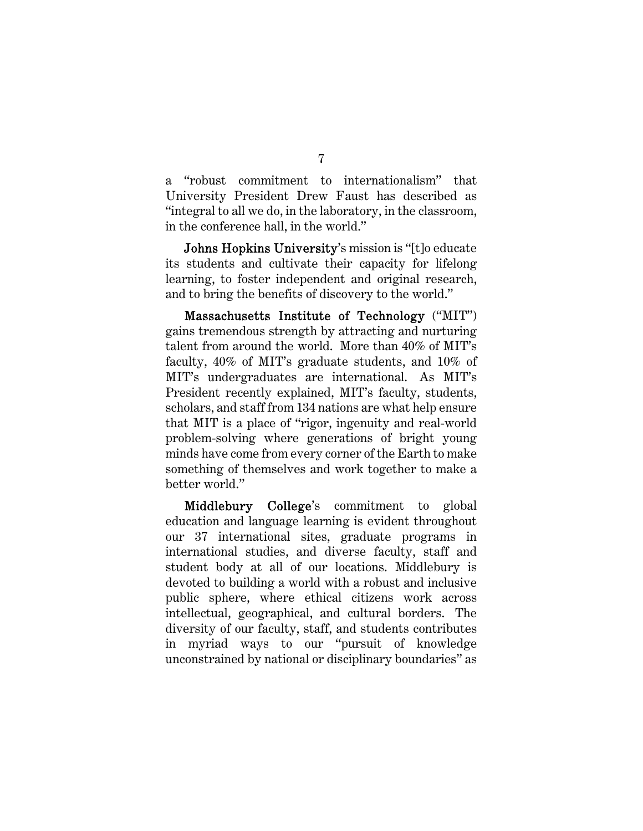a "robust commitment to internationalism" that University President Drew Faust has described as "integral to all we do, in the laboratory, in the classroom, in the conference hall, in the world."

Johns Hopkins University's mission is "[t]o educate its students and cultivate their capacity for lifelong learning, to foster independent and original research, and to bring the benefits of discovery to the world."

Massachusetts Institute of Technology ("MIT") gains tremendous strength by attracting and nurturing talent from around the world. More than 40% of MIT's faculty, 40% of MIT's graduate students, and 10% of MIT's undergraduates are international. As MIT's President recently explained, MIT's faculty, students, scholars, and staff from 134 nations are what help ensure that MIT is a place of "rigor, ingenuity and real-world problem-solving where generations of bright young minds have come from every corner of the Earth to make something of themselves and work together to make a better world."

Middlebury College's commitment to global education and language learning is evident throughout our 37 international sites, graduate programs in international studies, and diverse faculty, staff and student body at all of our locations. Middlebury is devoted to building a world with a robust and inclusive public sphere, where ethical citizens work across intellectual, geographical, and cultural borders. The diversity of our faculty, staff, and students contributes in myriad ways to our "pursuit of knowledge unconstrained by national or disciplinary boundaries" as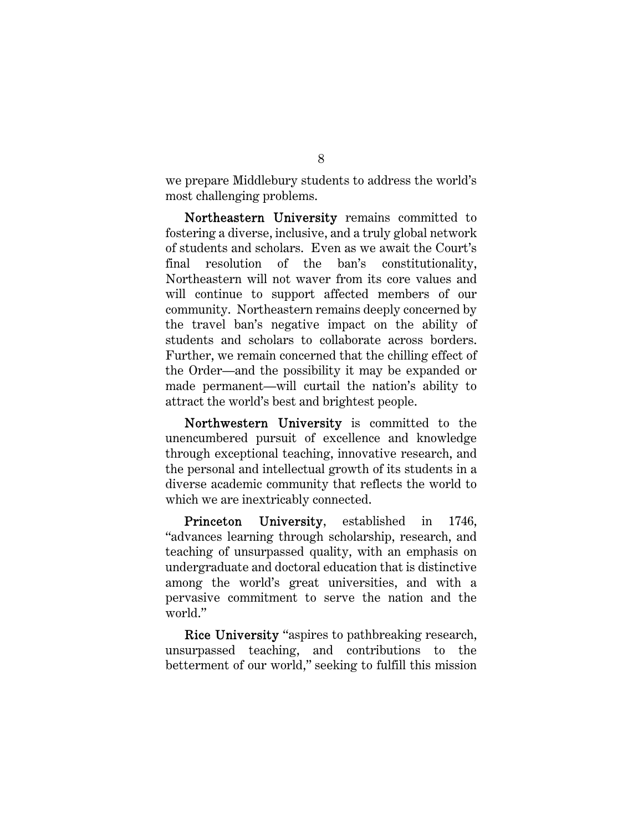we prepare Middlebury students to address the world's most challenging problems.

Northeastern University remains committed to fostering a diverse, inclusive, and a truly global network of students and scholars. Even as we await the Court's final resolution of the ban's constitutionality, Northeastern will not waver from its core values and will continue to support affected members of our community. Northeastern remains deeply concerned by the travel ban's negative impact on the ability of students and scholars to collaborate across borders. Further, we remain concerned that the chilling effect of the Order—and the possibility it may be expanded or made permanent—will curtail the nation's ability to attract the world's best and brightest people.

Northwestern University is committed to the unencumbered pursuit of excellence and knowledge through exceptional teaching, innovative research, and the personal and intellectual growth of its students in a diverse academic community that reflects the world to which we are inextricably connected.

Princeton University, established in 1746, "advances learning through scholarship, research, and teaching of unsurpassed quality, with an emphasis on undergraduate and doctoral education that is distinctive among the world's great universities, and with a pervasive commitment to serve the nation and the world."

Rice University "aspires to pathbreaking research, unsurpassed teaching, and contributions to the betterment of our world," seeking to fulfill this mission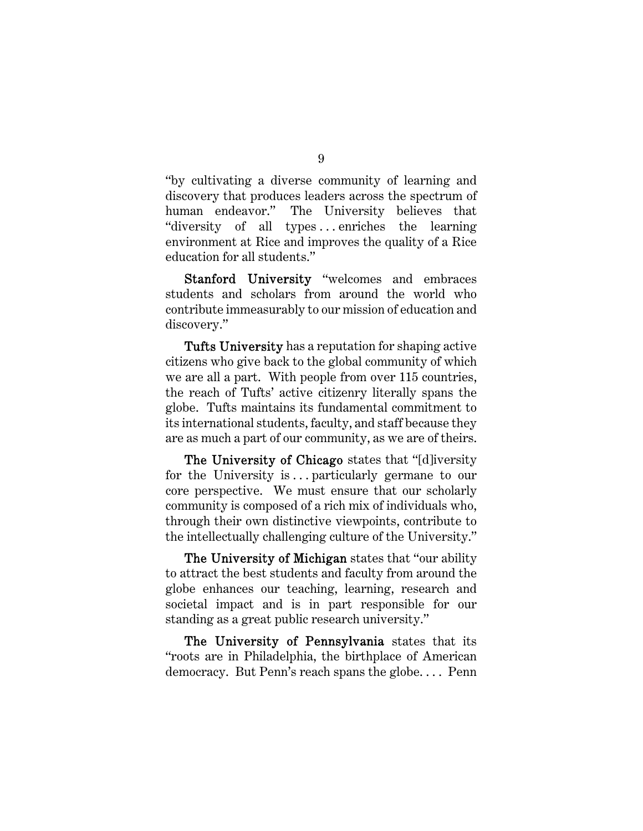"by cultivating a diverse community of learning and discovery that produces leaders across the spectrum of human endeavor." The University believes that "diversity of all types...enriches the learning environment at Rice and improves the quality of a Rice education for all students."

Stanford University "welcomes and embraces students and scholars from around the world who contribute immeasurably to our mission of education and discovery."

Tufts University has a reputation for shaping active citizens who give back to the global community of which we are all a part. With people from over 115 countries, the reach of Tufts' active citizenry literally spans the globe. Tufts maintains its fundamental commitment to its international students, faculty, and staff because they are as much a part of our community, as we are of theirs.

The University of Chicago states that "[d]iversity for the University is ... particularly germane to our core perspective. We must ensure that our scholarly community is composed of a rich mix of individuals who, through their own distinctive viewpoints, contribute to the intellectually challenging culture of the University."

The University of Michigan states that "our ability" to attract the best students and faculty from around the globe enhances our teaching, learning, research and societal impact and is in part responsible for our standing as a great public research university."

The University of Pennsylvania states that its "roots are in Philadelphia, the birthplace of American democracy. But Penn's reach spans the globe. . . . Penn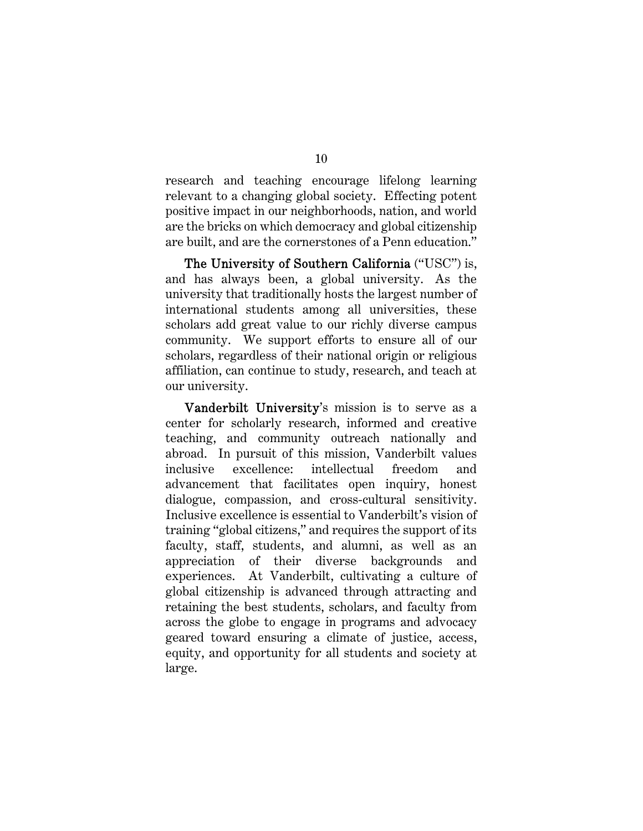research and teaching encourage lifelong learning relevant to a changing global society. Effecting potent positive impact in our neighborhoods, nation, and world are the bricks on which democracy and global citizenship are built, and are the cornerstones of a Penn education."

The University of Southern California ("USC") is, and has always been, a global university. As the university that traditionally hosts the largest number of international students among all universities, these scholars add great value to our richly diverse campus community. We support efforts to ensure all of our scholars, regardless of their national origin or religious affiliation, can continue to study, research, and teach at our university.

Vanderbilt University's mission is to serve as a center for scholarly research, informed and creative teaching, and community outreach nationally and abroad. In pursuit of this mission, Vanderbilt values inclusive excellence: intellectual freedom and advancement that facilitates open inquiry, honest dialogue, compassion, and cross-cultural sensitivity. Inclusive excellence is essential to Vanderbilt's vision of training "global citizens," and requires the support of its faculty, staff, students, and alumni, as well as an appreciation of their diverse backgrounds and experiences. At Vanderbilt, cultivating a culture of global citizenship is advanced through attracting and retaining the best students, scholars, and faculty from across the globe to engage in programs and advocacy geared toward ensuring a climate of justice, access, equity, and opportunity for all students and society at large.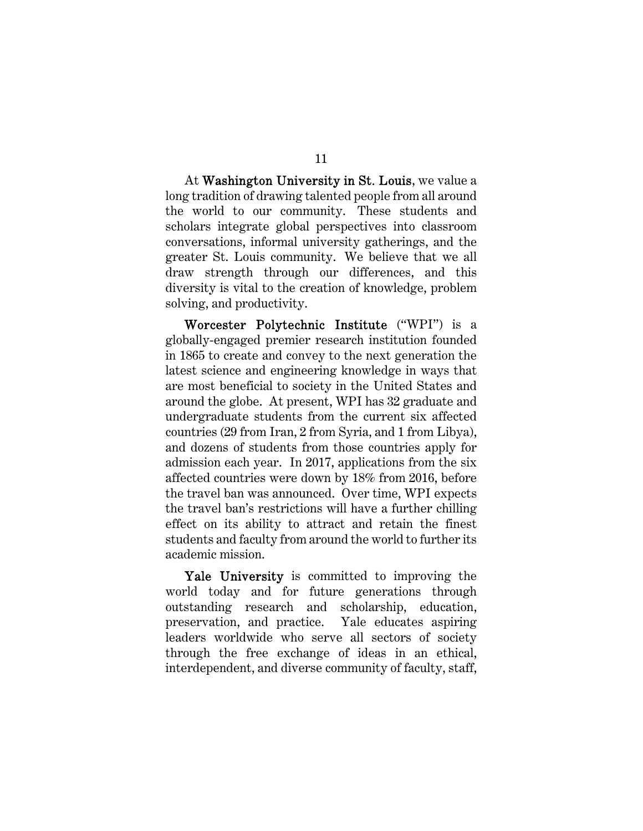At Washington University in St. Louis, we value a long tradition of drawing talented people from all around the world to our community. These students and scholars integrate global perspectives into classroom conversations, informal university gatherings, and the greater St. Louis community. We believe that we all draw strength through our differences, and this diversity is vital to the creation of knowledge, problem solving, and productivity.

Worcester Polytechnic Institute ("WPI") is a globally-engaged premier research institution founded in 1865 to create and convey to the next generation the latest science and engineering knowledge in ways that are most beneficial to society in the United States and around the globe. At present, WPI has 32 graduate and undergraduate students from the current six affected countries (29 from Iran, 2 from Syria, and 1 from Libya), and dozens of students from those countries apply for admission each year. In 2017, applications from the six affected countries were down by 18% from 2016, before the travel ban was announced. Over time, WPI expects the travel ban's restrictions will have a further chilling effect on its ability to attract and retain the finest students and faculty from around the world to further its academic mission.

Yale University is committed to improving the world today and for future generations through outstanding research and scholarship, education, preservation, and practice. Yale educates aspiring leaders worldwide who serve all sectors of society through the free exchange of ideas in an ethical, interdependent, and diverse community of faculty, staff,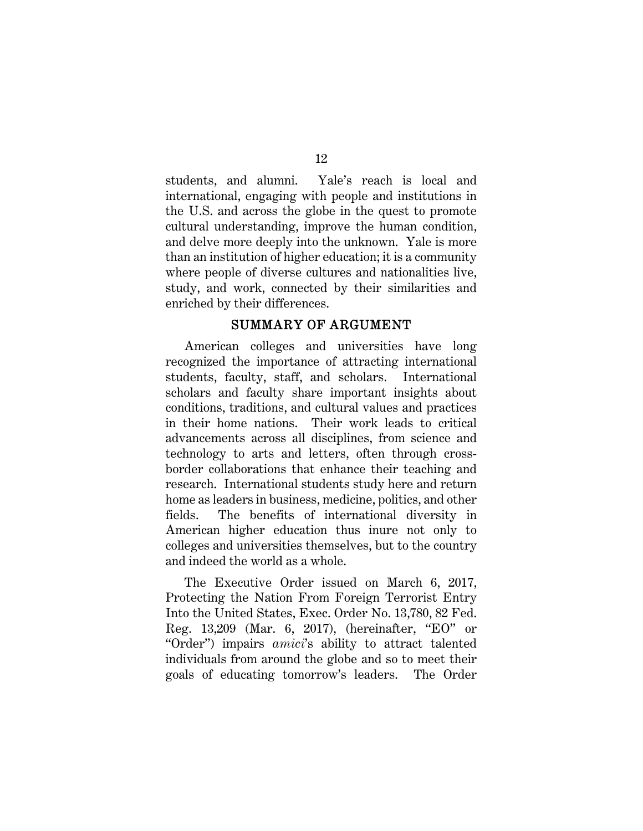students, and alumni. Yale's reach is local and international, engaging with people and institutions in the U.S. and across the globe in the quest to promote cultural understanding, improve the human condition, and delve more deeply into the unknown. Yale is more than an institution of higher education; it is a community where people of diverse cultures and nationalities live, study, and work, connected by their similarities and enriched by their differences.

# SUMMARY OF ARGUMENT

American colleges and universities have long recognized the importance of attracting international students, faculty, staff, and scholars. International scholars and faculty share important insights about conditions, traditions, and cultural values and practices in their home nations. Their work leads to critical advancements across all disciplines, from science and technology to arts and letters, often through crossborder collaborations that enhance their teaching and research. International students study here and return home as leaders in business, medicine, politics, and other fields. The benefits of international diversity in American higher education thus inure not only to colleges and universities themselves, but to the country and indeed the world as a whole.

The Executive Order issued on March 6, 2017, Protecting the Nation From Foreign Terrorist Entry Into the United States, Exec. Order No. 13,780, 82 Fed. Reg. 13,209 (Mar. 6, 2017), (hereinafter, "EO" or "Order") impairs *amici*'s ability to attract talented individuals from around the globe and so to meet their goals of educating tomorrow's leaders. The Order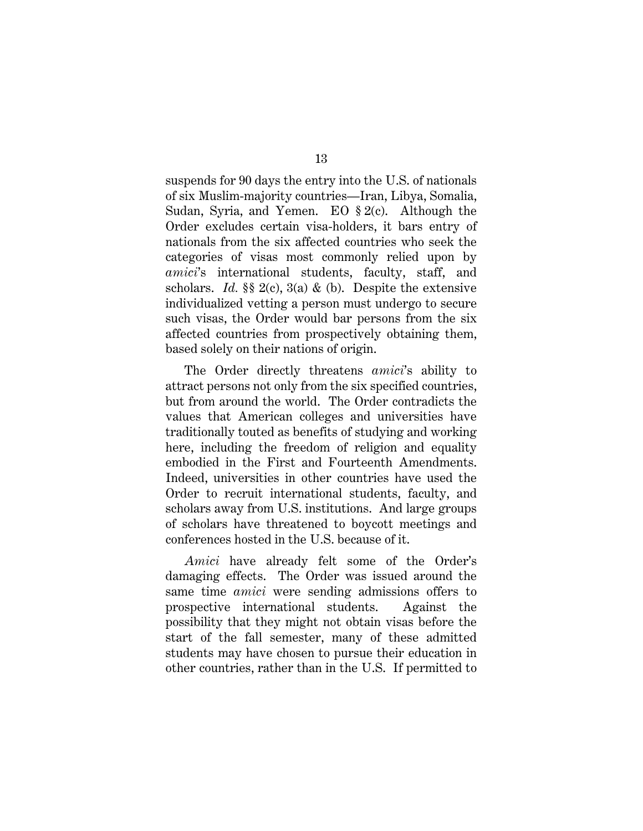suspends for 90 days the entry into the U.S. of nationals of six Muslim-majority countries—Iran, Libya, Somalia, Sudan, Syria, and Yemen. EO § 2(c). Although the Order excludes certain visa-holders, it bars entry of nationals from the six affected countries who seek the categories of visas most commonly relied upon by *amici*'s international students, faculty, staff, and scholars. *Id.*  $\S$  2(c), 3(a) & (b). Despite the extensive individualized vetting a person must undergo to secure such visas, the Order would bar persons from the six affected countries from prospectively obtaining them, based solely on their nations of origin.

The Order directly threatens *amici*'s ability to attract persons not only from the six specified countries, but from around the world. The Order contradicts the values that American colleges and universities have traditionally touted as benefits of studying and working here, including the freedom of religion and equality embodied in the First and Fourteenth Amendments. Indeed, universities in other countries have used the Order to recruit international students, faculty, and scholars away from U.S. institutions. And large groups of scholars have threatened to boycott meetings and conferences hosted in the U.S. because of it.

*Amici* have already felt some of the Order's damaging effects. The Order was issued around the same time *amici* were sending admissions offers to prospective international students. Against the possibility that they might not obtain visas before the start of the fall semester, many of these admitted students may have chosen to pursue their education in other countries, rather than in the U.S. If permitted to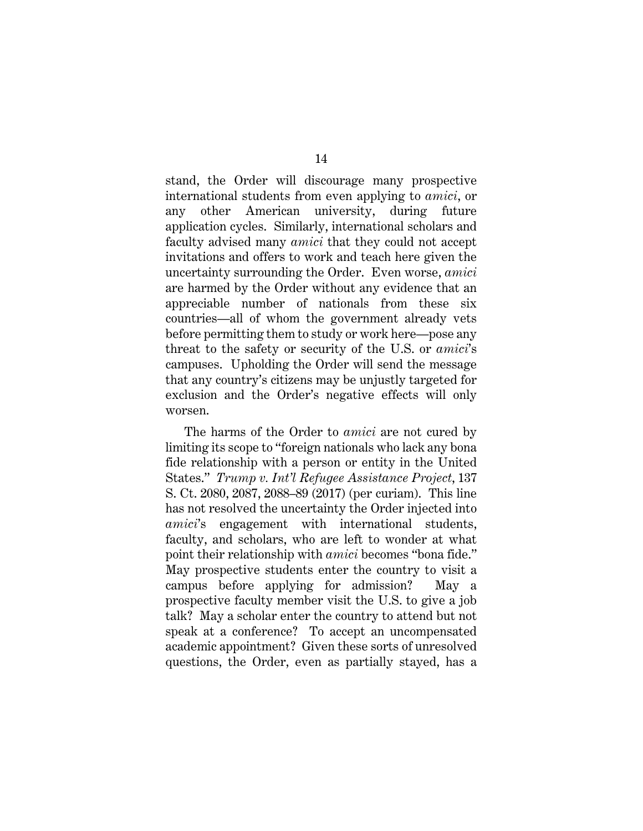stand, the Order will discourage many prospective international students from even applying to *amici*, or any other American university, during future application cycles. Similarly, international scholars and faculty advised many *amici* that they could not accept invitations and offers to work and teach here given the uncertainty surrounding the Order. Even worse, *amici* are harmed by the Order without any evidence that an appreciable number of nationals from these six countries—all of whom the government already vets before permitting them to study or work here—pose any threat to the safety or security of the U.S. or *amici*'s campuses. Upholding the Order will send the message that any country's citizens may be unjustly targeted for exclusion and the Order's negative effects will only worsen.

The harms of the Order to *amici* are not cured by limiting its scope to "foreign nationals who lack any bona fide relationship with a person or entity in the United States." *Trump v. Int'l Refugee Assistance Project*, 137 S. Ct. 2080, 2087, 2088–89 (2017) (per curiam). This line has not resolved the uncertainty the Order injected into *amici*'s engagement with international students, faculty, and scholars, who are left to wonder at what point their relationship with *amici* becomes "bona fide." May prospective students enter the country to visit a campus before applying for admission? May a prospective faculty member visit the U.S. to give a job talk? May a scholar enter the country to attend but not speak at a conference? To accept an uncompensated academic appointment? Given these sorts of unresolved questions, the Order, even as partially stayed, has a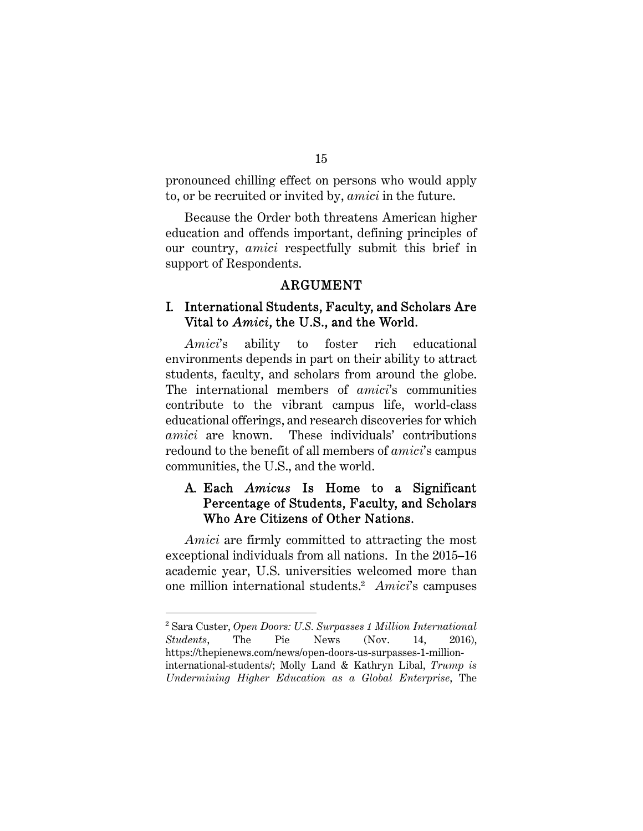pronounced chilling effect on persons who would apply to, or be recruited or invited by, *amici* in the future.

Because the Order both threatens American higher education and offends important, defining principles of our country, *amici* respectfully submit this brief in support of Respondents.

#### ARGUMENT

#### I. International Students, Faculty, and Scholars Are Vital to *Amici*, the U.S., and the World.

*Amici*'s ability to foster rich educational environments depends in part on their ability to attract students, faculty, and scholars from around the globe. The international members of *amici*'s communities contribute to the vibrant campus life, world-class educational offerings, and research discoveries for which *amici* are known. These individuals' contributions redound to the benefit of all members of *amici*'s campus communities, the U.S., and the world.

# A. Each *Amicus* Is Home to a Significant Percentage of Students, Faculty, and Scholars Who Are Citizens of Other Nations.

*Amici* are firmly committed to attracting the most exceptional individuals from all nations.In the 2015–16 academic year, U.S. universities welcomed more than one million international students.2 *Amici*'s campuses

<sup>2</sup> Sara Custer, *Open Doors: U.S. Surpasses 1 Million International Students*, The Pie News (Nov. 14, 2016), https://thepienews.com/news/open-doors-us-surpasses-1-millioninternational-students/; Molly Land & Kathryn Libal, *Trump is Undermining Higher Education as a Global Enterprise*, The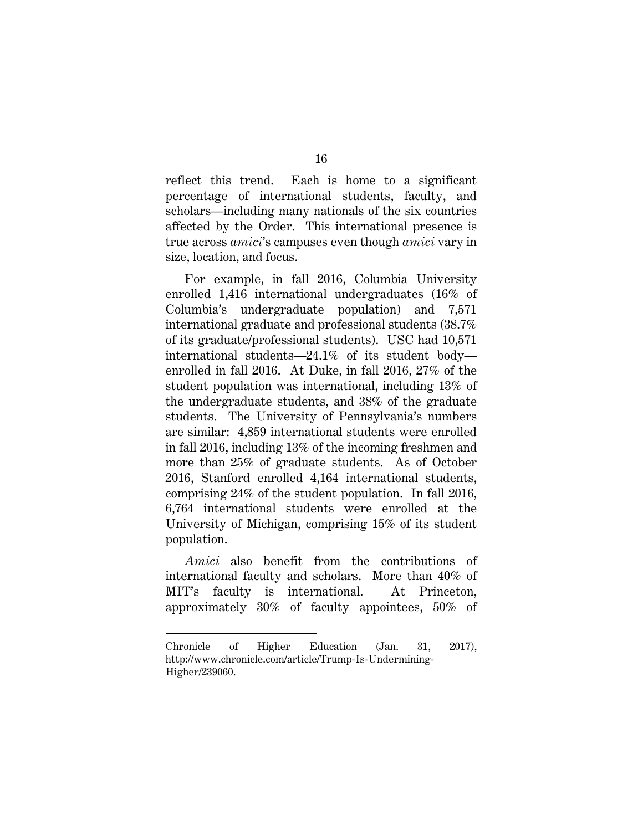reflect this trend. Each is home to a significant percentage of international students, faculty, and scholars—including many nationals of the six countries affected by the Order. This international presence is true across *amici*'s campuses even though *amici* vary in size, location, and focus.

For example, in fall 2016, Columbia University enrolled 1,416 international undergraduates (16% of Columbia's undergraduate population) and 7,571 international graduate and professional students (38.7% of its graduate/professional students). USC had 10,571 international students—24.1% of its student body enrolled in fall 2016. At Duke, in fall 2016, 27% of the student population was international, including 13% of the undergraduate students, and 38% of the graduate students. The University of Pennsylvania's numbers are similar: 4,859 international students were enrolled in fall 2016, including 13% of the incoming freshmen and more than 25% of graduate students. As of October 2016, Stanford enrolled 4,164 international students, comprising 24% of the student population. In fall 2016, 6,764 international students were enrolled at the University of Michigan, comprising 15% of its student population.

*Amici* also benefit from the contributions of international faculty and scholars. More than 40% of MIT's faculty is international. At Princeton, approximately 30% of faculty appointees, 50% of

Chronicle of Higher Education (Jan. 31, 2017), http://www.chronicle.com/article/Trump-Is-Undermining-Higher/239060.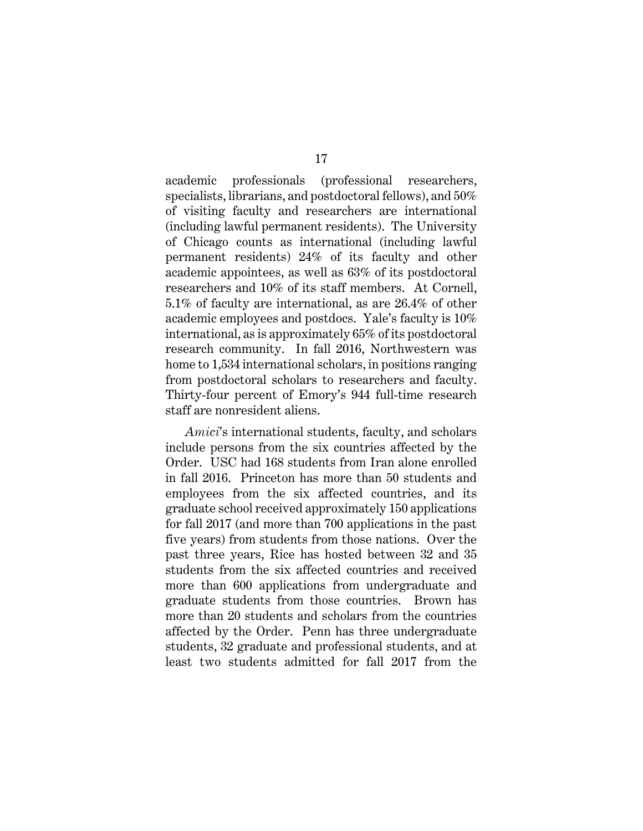academic professionals (professional researchers, specialists, librarians, and postdoctoral fellows), and 50% of visiting faculty and researchers are international (including lawful permanent residents). The University of Chicago counts as international (including lawful permanent residents) 24% of its faculty and other academic appointees, as well as 63% of its postdoctoral researchers and 10% of its staff members. At Cornell, 5.1% of faculty are international, as are 26.4% of other academic employees and postdocs. Yale's faculty is 10% international, as is approximately 65% of its postdoctoral research community. In fall 2016, Northwestern was home to 1,534 international scholars, in positions ranging from postdoctoral scholars to researchers and faculty. Thirty-four percent of Emory's 944 full-time research staff are nonresident aliens.

*Amici*'s international students, faculty, and scholars include persons from the six countries affected by the Order. USC had 168 students from Iran alone enrolled in fall 2016. Princeton has more than 50 students and employees from the six affected countries, and its graduate school received approximately 150 applications for fall 2017 (and more than 700 applications in the past five years) from students from those nations. Over the past three years, Rice has hosted between 32 and 35 students from the six affected countries and received more than 600 applications from undergraduate and graduate students from those countries. Brown has more than 20 students and scholars from the countries affected by the Order. Penn has three undergraduate students, 32 graduate and professional students, and at least two students admitted for fall 2017 from the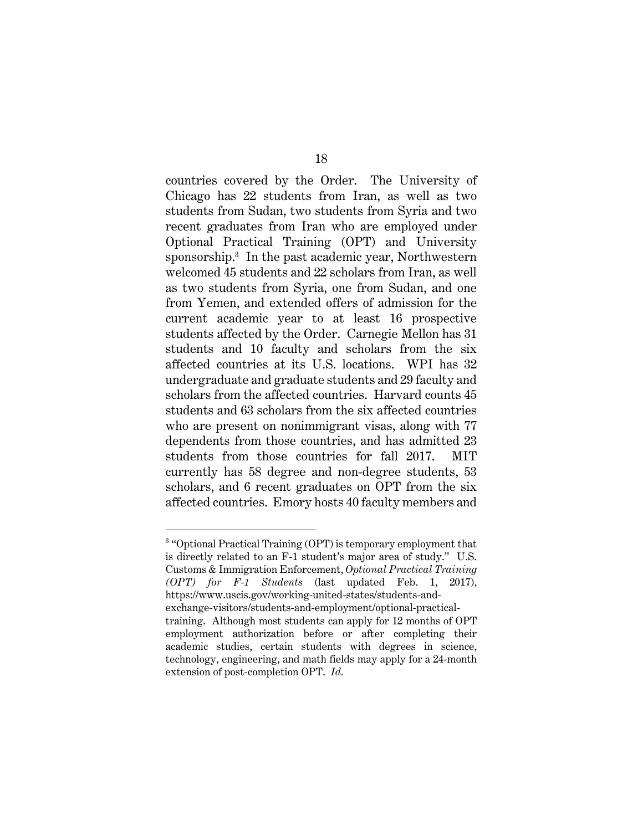countries covered by the Order. The University of Chicago has 22 students from Iran, as well as two students from Sudan, two students from Syria and two recent graduates from Iran who are employed under Optional Practical Training (OPT) and University sponsorship.3 In the past academic year, Northwestern welcomed 45 students and 22 scholars from Iran, as well as two students from Syria, one from Sudan, and one from Yemen, and extended offers of admission for the current academic year to at least 16 prospective students affected by the Order. Carnegie Mellon has 31 students and 10 faculty and scholars from the six affected countries at its U.S. locations. WPI has 32 undergraduate and graduate students and 29 faculty and scholars from the affected countries. Harvard counts 45 students and 63 scholars from the six affected countries who are present on nonimmigrant visas, along with 77 dependents from those countries, and has admitted 23 students from those countries for fall 2017. MIT currently has 58 degree and non-degree students, 53 scholars, and 6 recent graduates on OPT from the six affected countries. Emory hosts 40 faculty members and

<sup>&</sup>lt;sup>3</sup> "Optional Practical Training (OPT) is temporary employment that is directly related to an F-1 student's major area of study." U.S. Customs & Immigration Enforcement, *Optional Practical Training (OPT) for F-1 Students* (last updated Feb. 1, 2017), https://www.uscis.gov/working-united-states/students-andexchange-visitors/students-and-employment/optional-practicaltraining. Although most students can apply for 12 months of OPT employment authorization before or after completing their academic studies, certain students with degrees in science, technology, engineering, and math fields may apply for a 24-month extension of post-completion OPT. *Id.*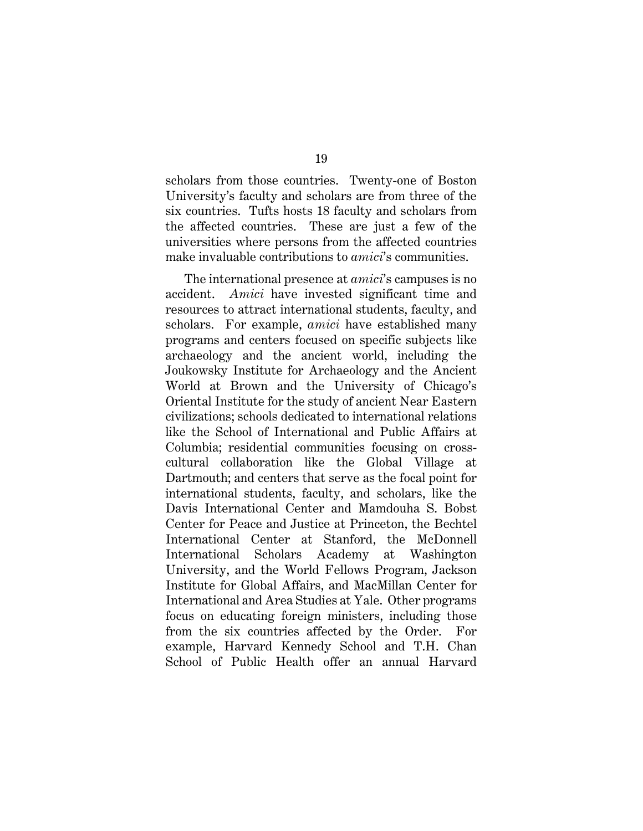scholars from those countries. Twenty-one of Boston University's faculty and scholars are from three of the six countries. Tufts hosts 18 faculty and scholars from the affected countries. These are just a few of the universities where persons from the affected countries make invaluable contributions to *amici*'s communities.

The international presence at *amici*'s campuses is no accident. *Amici* have invested significant time and resources to attract international students, faculty, and scholars. For example, *amici* have established many programs and centers focused on specific subjects like archaeology and the ancient world, including the Joukowsky Institute for Archaeology and the Ancient World at Brown and the University of Chicago's Oriental Institute for the study of ancient Near Eastern civilizations; schools dedicated to international relations like the School of International and Public Affairs at Columbia; residential communities focusing on crosscultural collaboration like the Global Village at Dartmouth; and centers that serve as the focal point for international students, faculty, and scholars, like the Davis International Center and Mamdouha S. Bobst Center for Peace and Justice at Princeton, the Bechtel International Center at Stanford, the McDonnell International Scholars Academy at Washington University, and the World Fellows Program, Jackson Institute for Global Affairs, and MacMillan Center for International and Area Studies at Yale. Other programs focus on educating foreign ministers, including those from the six countries affected by the Order. For example, Harvard Kennedy School and T.H. Chan School of Public Health offer an annual Harvard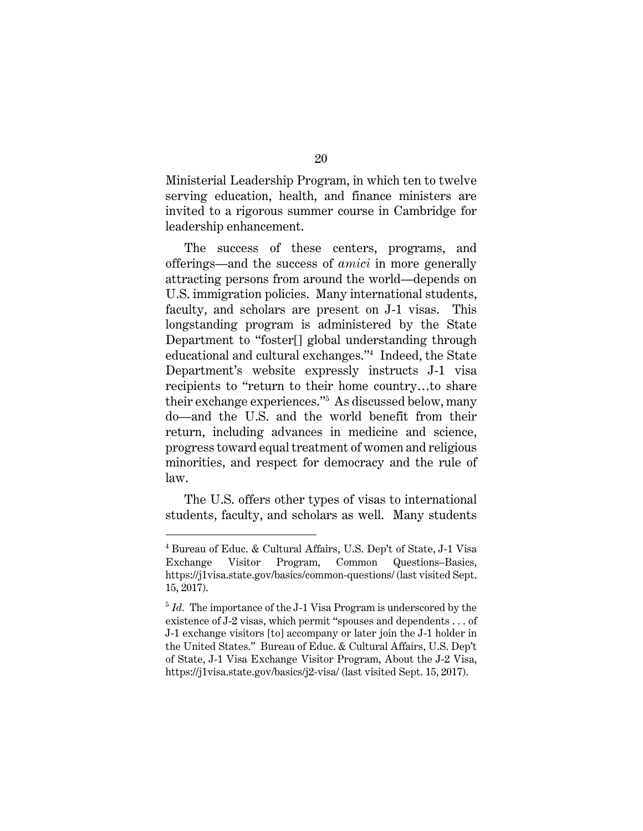Ministerial Leadership Program, in which ten to twelve serving education, health, and finance ministers are invited to a rigorous summer course in Cambridge for leadership enhancement.

The success of these centers, programs, and offerings—and the success of *amici* in more generally attracting persons from around the world—depends on U.S. immigration policies. Many international students, faculty, and scholars are present on J-1 visas. This longstanding program is administered by the State Department to "foster[] global understanding through educational and cultural exchanges."4 Indeed, the State Department's website expressly instructs J-1 visa recipients to "return to their home country…to share their exchange experiences."5 As discussed below, many do—and the U.S. and the world benefit from their return, including advances in medicine and science, progress toward equal treatment of women and religious minorities, and respect for democracy and the rule of law.

The U.S. offers other types of visas to international students, faculty, and scholars as well. Many students

<sup>4</sup> Bureau of Educ. & Cultural Affairs, U.S. Dep't of State, J-1 Visa Exchange Visitor Program, Common Questions–Basics, https://j1visa.state.gov/basics/common-questions/ (last visited Sept. 15, 2017).

<sup>&</sup>lt;sup>5</sup> Id. The importance of the J-1 Visa Program is underscored by the existence of J-2 visas, which permit "spouses and dependents . . . of J-1 exchange visitors [to] accompany or later join the J-1 holder in the United States." Bureau of Educ. & Cultural Affairs, U.S. Dep't of State, J-1 Visa Exchange Visitor Program, About the J-2 Visa, https://j1visa.state.gov/basics/j2-visa/ (last visited Sept. 15, 2017).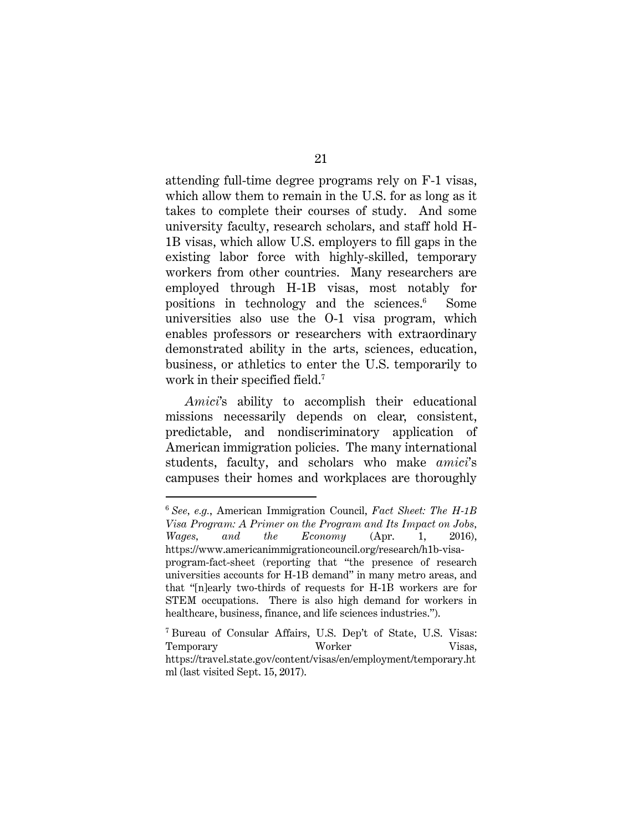attending full-time degree programs rely on F-1 visas, which allow them to remain in the U.S. for as long as it takes to complete their courses of study. And some university faculty, research scholars, and staff hold H-1B visas, which allow U.S. employers to fill gaps in the existing labor force with highly-skilled, temporary workers from other countries. Many researchers are employed through H-1B visas, most notably for positions in technology and the sciences.6 Some universities also use the O-1 visa program, which enables professors or researchers with extraordinary demonstrated ability in the arts, sciences, education, business, or athletics to enter the U.S. temporarily to work in their specified field.<sup>7</sup>

*Amici*'s ability to accomplish their educational missions necessarily depends on clear, consistent, predictable, and nondiscriminatory application of American immigration policies. The many international students, faculty, and scholars who make *amici*'s campuses their homes and workplaces are thoroughly

<sup>6</sup>  *See, e.g.*, American Immigration Council, *Fact Sheet: The H-1B Visa Program: A Primer on the Program and Its Impact on Jobs, Wages, and the Economy* (Apr. 1, 2016), https://www.americanimmigrationcouncil.org/research/h1b-visaprogram-fact-sheet (reporting that "the presence of research universities accounts for H-1B demand" in many metro areas, and that "[n]early two-thirds of requests for H-1B workers are for STEM occupations. There is also high demand for workers in healthcare, business, finance, and life sciences industries.").

<sup>7</sup> Bureau of Consular Affairs, U.S. Dep't of State, U.S. Visas: Temporary Worker Visas, https://travel.state.gov/content/visas/en/employment/temporary.ht ml (last visited Sept. 15, 2017).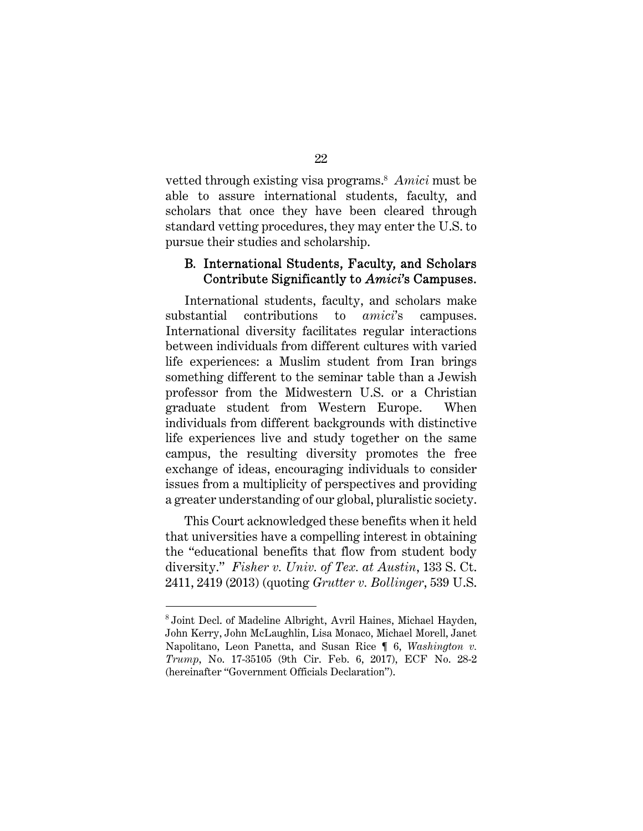vetted through existing visa programs.8 *Amici* must be able to assure international students, faculty, and scholars that once they have been cleared through standard vetting procedures, they may enter the U.S. to pursue their studies and scholarship.

### B. International Students, Faculty, and Scholars Contribute Significantly to *Amici*'s Campuses.

International students, faculty, and scholars make substantial contributions to *amici*'s campuses. International diversity facilitates regular interactions between individuals from different cultures with varied life experiences: a Muslim student from Iran brings something different to the seminar table than a Jewish professor from the Midwestern U.S. or a Christian graduate student from Western Europe. When individuals from different backgrounds with distinctive life experiences live and study together on the same campus, the resulting diversity promotes the free exchange of ideas, encouraging individuals to consider issues from a multiplicity of perspectives and providing a greater understanding of our global, pluralistic society.

This Court acknowledged these benefits when it held that universities have a compelling interest in obtaining the "educational benefits that flow from student body diversity." *Fisher v. Univ. of Tex. at Austin*, 133 S. Ct. 2411, 2419 (2013) (quoting *Grutter v. Bollinger*, 539 U.S.

<sup>8</sup> Joint Decl. of Madeline Albright, Avril Haines, Michael Hayden, John Kerry, John McLaughlin, Lisa Monaco, Michael Morell, Janet Napolitano, Leon Panetta, and Susan Rice ¶ 6, *Washington v. Trump*, No. 17-35105 (9th Cir. Feb. 6, 2017), ECF No. 28-2 (hereinafter "Government Officials Declaration").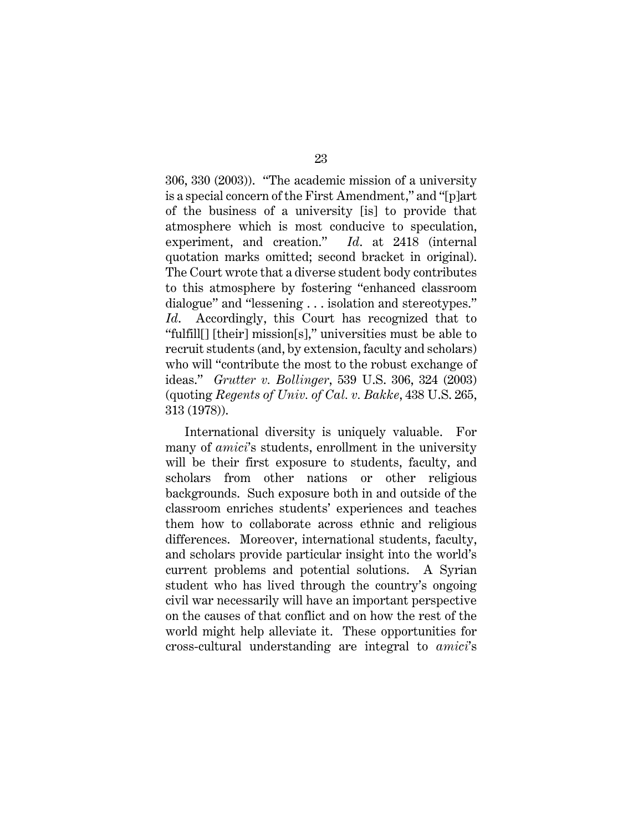306, 330 (2003)). "The academic mission of a university is a special concern of the First Amendment," and "[p]art of the business of a university [is] to provide that atmosphere which is most conducive to speculation, experiment, and creation." *Id*. at 2418 (internal quotation marks omitted; second bracket in original). The Court wrote that a diverse student body contributes to this atmosphere by fostering "enhanced classroom dialogue" and "lessening . . . isolation and stereotypes." *Id*. Accordingly, this Court has recognized that to "fulfill[] [their] mission[s]," universities must be able to recruit students (and, by extension, faculty and scholars) who will "contribute the most to the robust exchange of ideas." *Grutter v. Bollinger*, 539 U.S. 306, 324 (2003) (quoting *Regents of Univ. of Cal. v. Bakke*, 438 U.S. 265, 313 (1978)).

International diversity is uniquely valuable. For many of *amici*'s students, enrollment in the university will be their first exposure to students, faculty, and scholars from other nations or other religious backgrounds. Such exposure both in and outside of the classroom enriches students' experiences and teaches them how to collaborate across ethnic and religious differences. Moreover, international students, faculty, and scholars provide particular insight into the world's current problems and potential solutions. A Syrian student who has lived through the country's ongoing civil war necessarily will have an important perspective on the causes of that conflict and on how the rest of the world might help alleviate it. These opportunities for cross-cultural understanding are integral to *amici*'s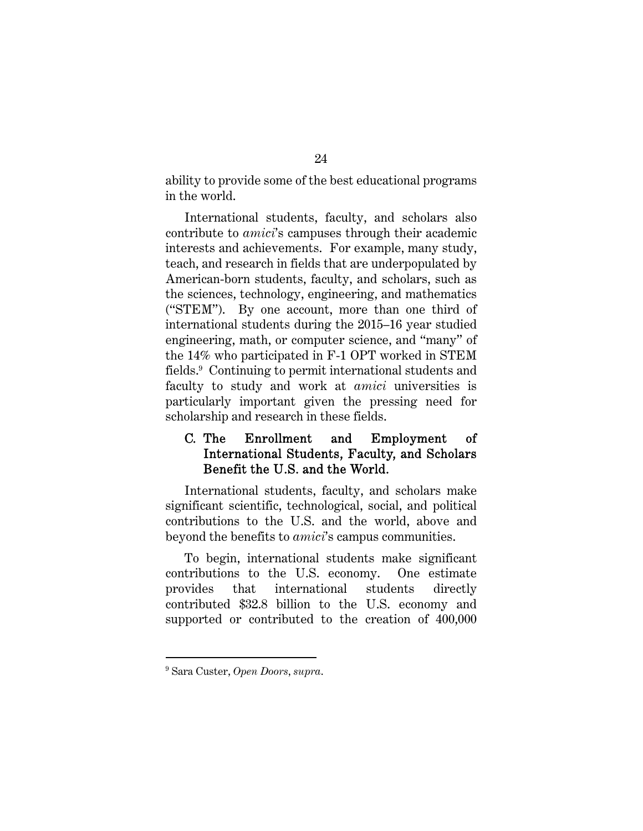ability to provide some of the best educational programs in the world.

International students, faculty, and scholars also contribute to *amici*'s campuses through their academic interests and achievements. For example, many study, teach, and research in fields that are underpopulated by American-born students, faculty, and scholars, such as the sciences, technology, engineering, and mathematics ("STEM"). By one account, more than one third of international students during the 2015–16 year studied engineering, math, or computer science, and "many" of the 14% who participated in F-1 OPT worked in STEM fields.9 Continuing to permit international students and faculty to study and work at *amici* universities is particularly important given the pressing need for scholarship and research in these fields.

# C. The Enrollment and Employment of International Students, Faculty, and Scholars Benefit the U.S. and the World.

International students, faculty, and scholars make significant scientific, technological, social, and political contributions to the U.S. and the world, above and beyond the benefits to *amici*'s campus communities.

To begin, international students make significant contributions to the U.S. economy. One estimate provides that international students directly contributed \$32.8 billion to the U.S. economy and supported or contributed to the creation of 400,000

l

<sup>9</sup> Sara Custer, *Open Doors*, *supra*.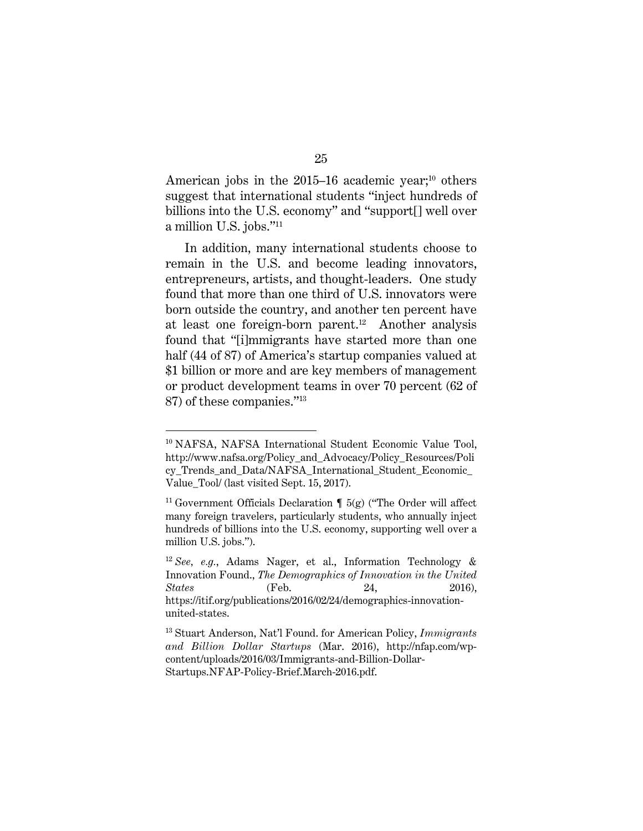American jobs in the  $2015-16$  academic year;<sup>10</sup> others suggest that international students "inject hundreds of billions into the U.S. economy" and "support[] well over a million U.S. jobs."11

In addition, many international students choose to remain in the U.S. and become leading innovators, entrepreneurs, artists, and thought-leaders. One study found that more than one third of U.S. innovators were born outside the country, and another ten percent have at least one foreign-born parent.12 Another analysis found that "[i]mmigrants have started more than one half (44 of 87) of America's startup companies valued at \$1 billion or more and are key members of management or product development teams in over 70 percent (62 of 87) of these companies."13

l

<sup>10</sup> NAFSA, NAFSA International Student Economic Value Tool, http://www.nafsa.org/Policy\_and\_Advocacy/Policy\_Resources/Poli cy\_Trends\_and\_Data/NAFSA\_International\_Student\_Economic\_ Value\_Tool/ (last visited Sept. 15, 2017).

<sup>&</sup>lt;sup>11</sup> Government Officials Declaration  $\P$  5(g) ("The Order will affect many foreign travelers, particularly students, who annually inject hundreds of billions into the U.S. economy, supporting well over a million U.S. jobs.").

<sup>12</sup> *See, e.g.*, Adams Nager, et al., Information Technology & Innovation Found., *The Demographics of Innovation in the United States* (Feb. 24, 2016), https://itif.org/publications/2016/02/24/demographics-innovationunited-states.

<sup>13</sup> Stuart Anderson, Nat'l Found. for American Policy, *Immigrants and Billion Dollar Startups* (Mar. 2016), http://nfap.com/wpcontent/uploads/2016/03/Immigrants-and-Billion-Dollar-Startups.NFAP-Policy-Brief.March-2016.pdf.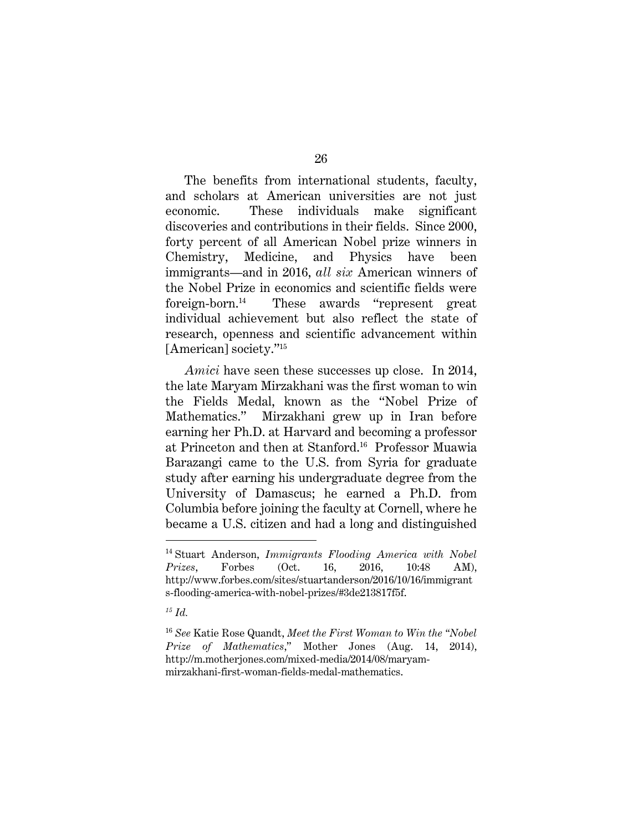The benefits from international students, faculty, and scholars at American universities are not just economic. These individuals make significant discoveries and contributions in their fields. Since 2000, forty percent of all American Nobel prize winners in Chemistry, Medicine, and Physics have been immigrants—and in 2016, *all six* American winners of the Nobel Prize in economics and scientific fields were foreign-born.14 These awards "represent great individual achievement but also reflect the state of research, openness and scientific advancement within [American] society."<sup>15</sup>

*Amici* have seen these successes up close. In 2014, the late Maryam Mirzakhani was the first woman to win the Fields Medal, known as the "Nobel Prize of Mathematics." Mirzakhani grew up in Iran before earning her Ph.D. at Harvard and becoming a professor at Princeton and then at Stanford.16 Professor Muawia Barazangi came to the U.S. from Syria for graduate study after earning his undergraduate degree from the University of Damascus; he earned a Ph.D. from Columbia before joining the faculty at Cornell, where he became a U.S. citizen and had a long and distinguished

*15 Id.*

<sup>14</sup> Stuart Anderson, *Immigrants Flooding America with Nobel Prizes*, Forbes (Oct. 16, 2016, 10:48 AM), http://www.forbes.com/sites/stuartanderson/2016/10/16/immigrant s-flooding-america-with-nobel-prizes/#3de213817f5f.

<sup>16</sup> *See* Katie Rose Quandt, *Meet the First Woman to Win the "Nobel Prize of Mathematics*," Mother Jones (Aug. 14, 2014), http://m.motherjones.com/mixed-media/2014/08/maryammirzakhani-first-woman-fields-medal-mathematics.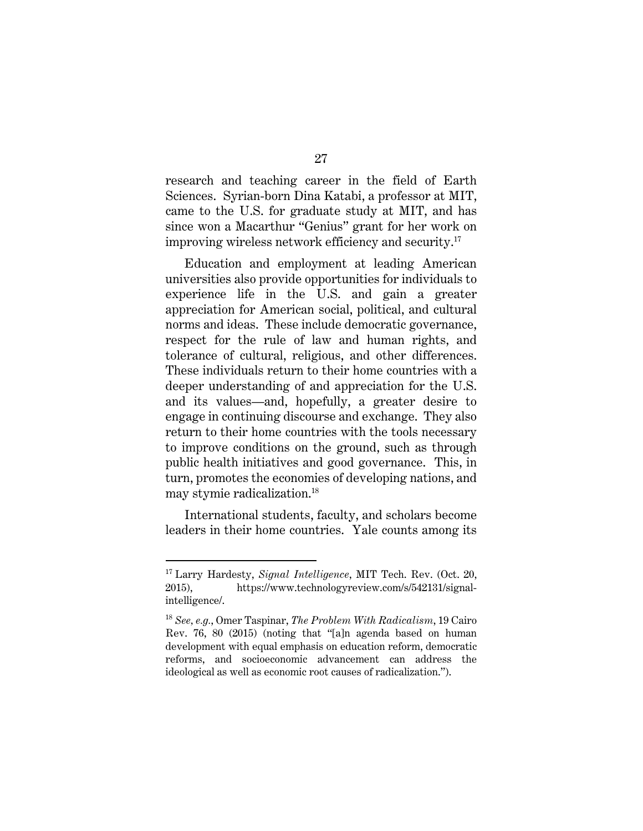research and teaching career in the field of Earth Sciences. Syrian-born Dina Katabi, a professor at MIT, came to the U.S. for graduate study at MIT, and has since won a Macarthur "Genius" grant for her work on improving wireless network efficiency and security.17

Education and employment at leading American universities also provide opportunities for individuals to experience life in the U.S. and gain a greater appreciation for American social, political, and cultural norms and ideas. These include democratic governance, respect for the rule of law and human rights, and tolerance of cultural, religious, and other differences. These individuals return to their home countries with a deeper understanding of and appreciation for the U.S. and its values—and, hopefully, a greater desire to engage in continuing discourse and exchange. They also return to their home countries with the tools necessary to improve conditions on the ground, such as through public health initiatives and good governance. This, in turn, promotes the economies of developing nations, and may stymie radicalization.18

International students, faculty, and scholars become leaders in their home countries. Yale counts among its

<sup>17</sup> Larry Hardesty, *Signal Intelligence*, MIT Tech. Rev. (Oct. 20, 2015), https://www.technologyreview.com/s/542131/signalintelligence/.

<sup>18</sup> *See, e.g.*, Omer Taspinar, *The Problem With Radicalism*, 19 Cairo Rev. 76, 80 (2015) (noting that "[a]n agenda based on human development with equal emphasis on education reform, democratic reforms, and socioeconomic advancement can address the ideological as well as economic root causes of radicalization.").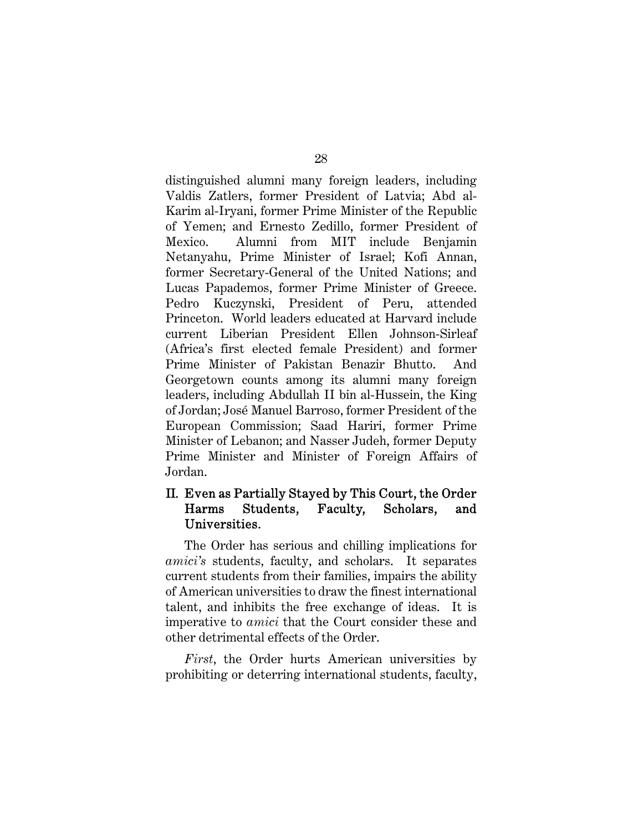distinguished alumni many foreign leaders, including Valdis Zatlers, former President of Latvia; Abd al-Karim al-Iryani, former Prime Minister of the Republic of Yemen; and Ernesto Zedillo, former President of Mexico. Alumni from MIT include Benjamin Netanyahu, Prime Minister of Israel; Kofi Annan, former Secretary-General of the United Nations; and Lucas Papademos, former Prime Minister of Greece. Pedro Kuczynski, President of Peru, attended Princeton. World leaders educated at Harvard include current Liberian President Ellen Johnson-Sirleaf (Africa's first elected female President) and former Prime Minister of Pakistan Benazir Bhutto. And Georgetown counts among its alumni many foreign leaders, including Abdullah II bin al-Hussein, the King of Jordan; José Manuel Barroso, former President of the European Commission; Saad Hariri, former Prime Minister of Lebanon; and Nasser Judeh, former Deputy Prime Minister and Minister of Foreign Affairs of Jordan.

# II. Even as Partially Stayed by This Court, the Order Harms Students, Faculty, Scholars, and Universities.

The Order has serious and chilling implications for *amici's* students, faculty, and scholars. It separates current students from their families, impairs the ability of American universities to draw the finest international talent, and inhibits the free exchange of ideas. It is imperative to *amici* that the Court consider these and other detrimental effects of the Order.

*First*, the Order hurts American universities by prohibiting or deterring international students, faculty,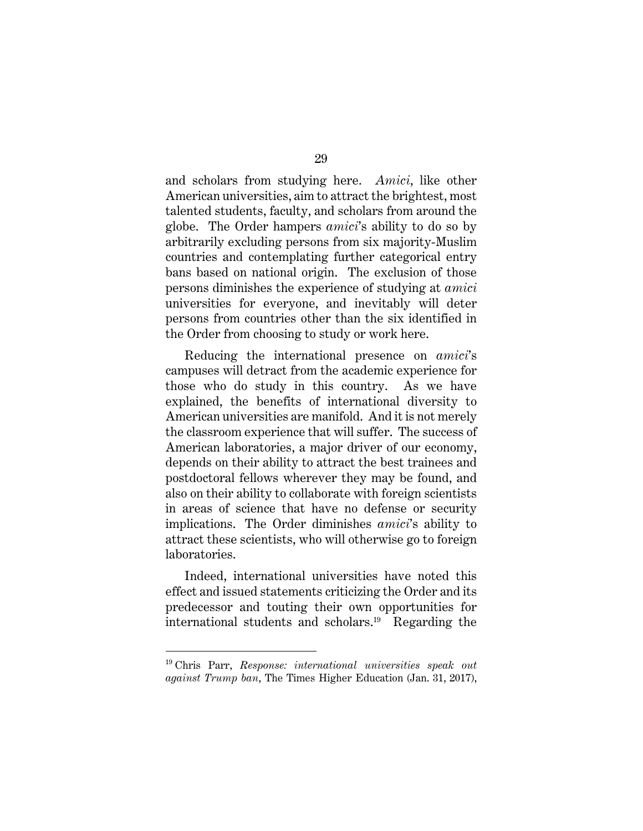and scholars from studying here. *Amici*, like other American universities, aim to attract the brightest, most talented students, faculty, and scholars from around the globe. The Order hampers *amici*'s ability to do so by arbitrarily excluding persons from six majority-Muslim countries and contemplating further categorical entry bans based on national origin. The exclusion of those persons diminishes the experience of studying at *amici* universities for everyone, and inevitably will deter persons from countries other than the six identified in the Order from choosing to study or work here.

Reducing the international presence on *amici*'s campuses will detract from the academic experience for those who do study in this country. As we have explained, the benefits of international diversity to American universities are manifold. And it is not merely the classroom experience that will suffer. The success of American laboratories, a major driver of our economy, depends on their ability to attract the best trainees and postdoctoral fellows wherever they may be found, and also on their ability to collaborate with foreign scientists in areas of science that have no defense or security implications. The Order diminishes *amici*'s ability to attract these scientists, who will otherwise go to foreign laboratories.

Indeed, international universities have noted this effect and issued statements criticizing the Order and its predecessor and touting their own opportunities for international students and scholars.19 Regarding the

<sup>19</sup> Chris Parr, *Response: international universities speak out against Trump ban*, The Times Higher Education (Jan. 31, 2017),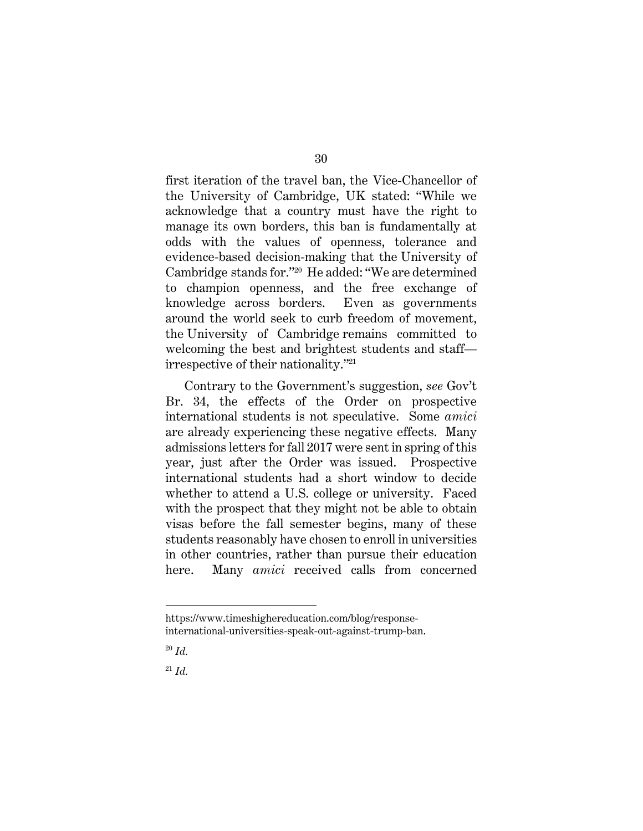first iteration of the travel ban, the Vice-Chancellor of the University of Cambridge, UK stated: "While we acknowledge that a country must have the right to manage its own borders, this ban is fundamentally at odds with the values of openness, tolerance and evidence-based decision-making that the University of Cambridge stands for."20 He added: "We are determined to champion openness, and the free exchange of knowledge across borders. Even as governments around the world seek to curb freedom of movement, the University of Cambridge remains committed to welcoming the best and brightest students and staff irrespective of their nationality."21

Contrary to the Government's suggestion, *see* Gov't Br. 34, the effects of the Order on prospective international students is not speculative. Some *amici*  are already experiencing these negative effects. Many admissions letters for fall 2017 were sent in spring of this year, just after the Order was issued. Prospective international students had a short window to decide whether to attend a U.S. college or university. Faced with the prospect that they might not be able to obtain visas before the fall semester begins, many of these students reasonably have chosen to enroll in universities in other countries, rather than pursue their education here. Many *amici* received calls from concerned

<sup>21</sup> *Id.*

 $\overline{a}$ https://www.timeshighereducation.com/blog/responseinternational-universities-speak-out-against-trump-ban.

<sup>20</sup> *Id.*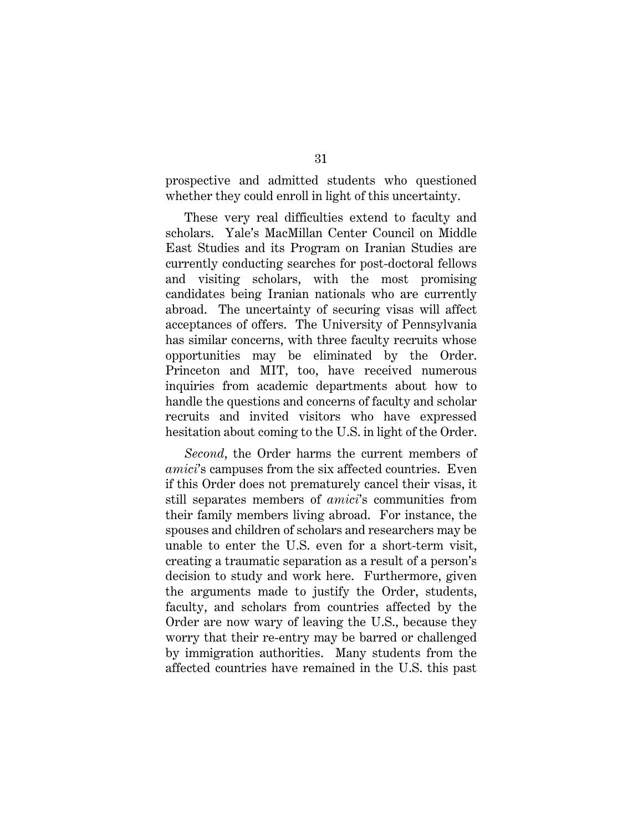prospective and admitted students who questioned whether they could enroll in light of this uncertainty.

These very real difficulties extend to faculty and scholars. Yale's MacMillan Center Council on Middle East Studies and its Program on Iranian Studies are currently conducting searches for post-doctoral fellows and visiting scholars, with the most promising candidates being Iranian nationals who are currently abroad. The uncertainty of securing visas will affect acceptances of offers. The University of Pennsylvania has similar concerns, with three faculty recruits whose opportunities may be eliminated by the Order. Princeton and MIT, too, have received numerous inquiries from academic departments about how to handle the questions and concerns of faculty and scholar recruits and invited visitors who have expressed hesitation about coming to the U.S. in light of the Order.

*Second*, the Order harms the current members of *amici*'s campuses from the six affected countries. Even if this Order does not prematurely cancel their visas, it still separates members of *amici*'s communities from their family members living abroad. For instance, the spouses and children of scholars and researchers may be unable to enter the U.S. even for a short-term visit, creating a traumatic separation as a result of a person's decision to study and work here. Furthermore, given the arguments made to justify the Order, students, faculty, and scholars from countries affected by the Order are now wary of leaving the U.S., because they worry that their re-entry may be barred or challenged by immigration authorities. Many students from the affected countries have remained in the U.S. this past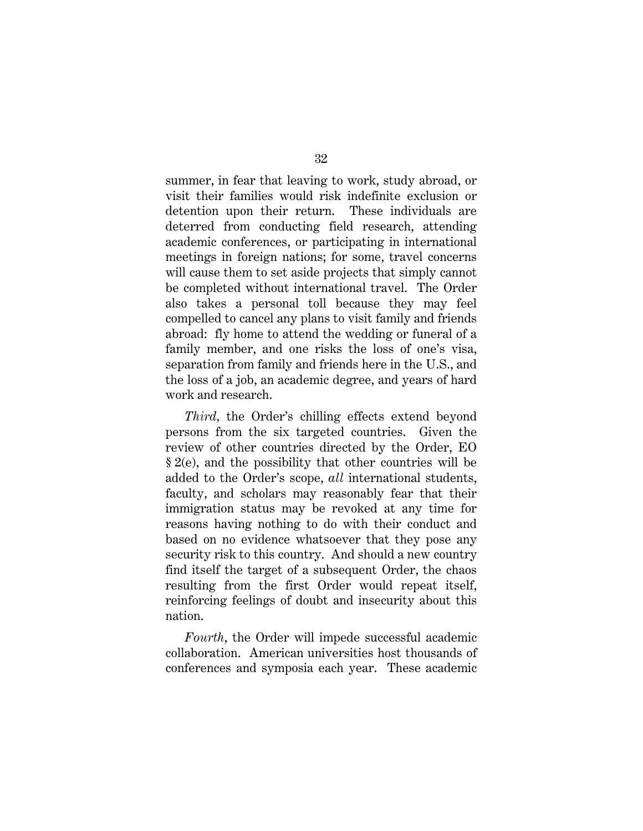summer, in fear that leaving to work, study abroad, or visit their families would risk indefinite exclusion or detention upon their return. These individuals are deterred from conducting field research, attending academic conferences, or participating in international meetings in foreign nations; for some, travel concerns will cause them to set aside projects that simply cannot be completed without international travel. The Order also takes a personal toll because they may feel compelled to cancel any plans to visit family and friends abroad: fly home to attend the wedding or funeral of a family member, and one risks the loss of one's visa, separation from family and friends here in the U.S., and the loss of a job, an academic degree, and years of hard work and research.

*Third,* the Order's chilling effects extend beyond persons from the six targeted countries. Given the review of other countries directed by the Order, EO § 2(e), and the possibility that other countries will be added to the Order's scope, *all* international students, faculty, and scholars may reasonably fear that their immigration status may be revoked at any time for reasons having nothing to do with their conduct and based on no evidence whatsoever that they pose any security risk to this country. And should a new country find itself the target of a subsequent Order, the chaos resulting from the first Order would repeat itself, reinforcing feelings of doubt and insecurity about this nation.

*Fourth*, the Order will impede successful academic collaboration. American universities host thousands of conferences and symposia each year. These academic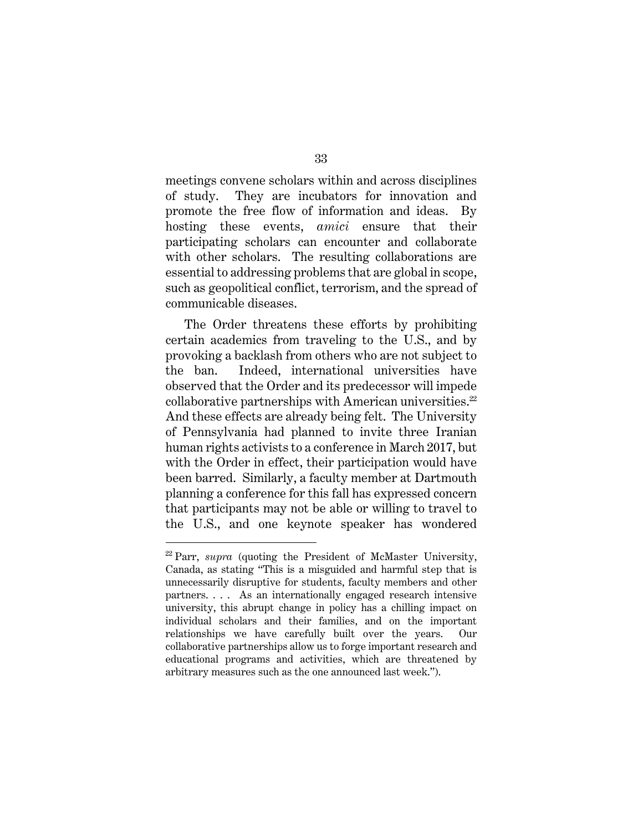meetings convene scholars within and across disciplines of study. They are incubators for innovation and promote the free flow of information and ideas. By hosting these events, *amici* ensure that their participating scholars can encounter and collaborate with other scholars. The resulting collaborations are essential to addressing problems that are global in scope, such as geopolitical conflict, terrorism, and the spread of communicable diseases.

The Order threatens these efforts by prohibiting certain academics from traveling to the U.S., and by provoking a backlash from others who are not subject to the ban. Indeed, international universities have observed that the Order and its predecessor will impede collaborative partnerships with American universities.<sup>22</sup> And these effects are already being felt. The University of Pennsylvania had planned to invite three Iranian human rights activists to a conference in March 2017, but with the Order in effect, their participation would have been barred. Similarly, a faculty member at Dartmouth planning a conference for this fall has expressed concern that participants may not be able or willing to travel to the U.S., and one keynote speaker has wondered

<sup>&</sup>lt;sup>22</sup> Parr, *supra* (quoting the President of McMaster University, Canada, as stating "This is a misguided and harmful step that is unnecessarily disruptive for students, faculty members and other partners. . . . As an internationally engaged research intensive university, this abrupt change in policy has a chilling impact on individual scholars and their families, and on the important relationships we have carefully built over the years. Our collaborative partnerships allow us to forge important research and educational programs and activities, which are threatened by arbitrary measures such as the one announced last week.").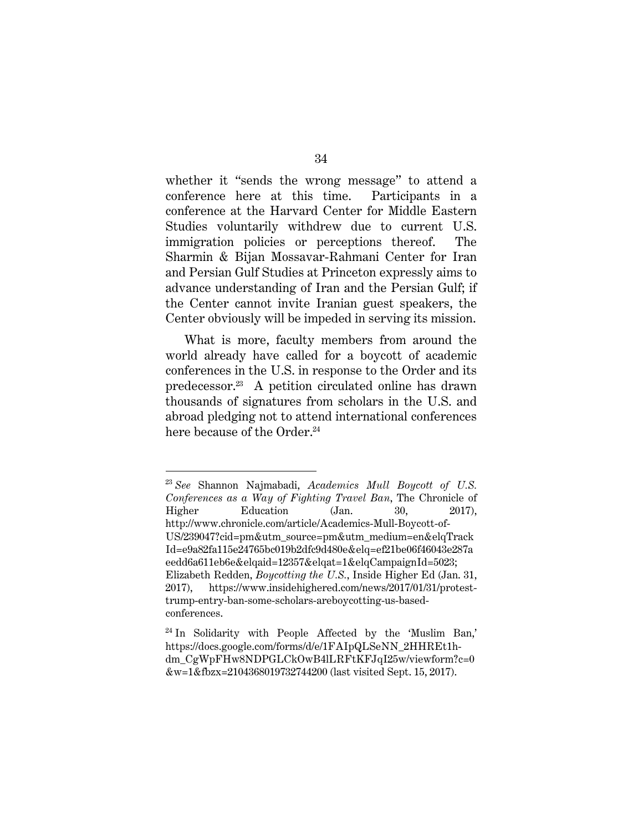whether it "sends the wrong message" to attend a conference here at this time. Participants in a conference at the Harvard Center for Middle Eastern Studies voluntarily withdrew due to current U.S. immigration policies or perceptions thereof. The Sharmin & Bijan Mossavar-Rahmani Center for Iran and Persian Gulf Studies at Princeton expressly aims to advance understanding of Iran and the Persian Gulf; if the Center cannot invite Iranian guest speakers, the Center obviously will be impeded in serving its mission.

What is more, faculty members from around the world already have called for a boycott of academic conferences in the U.S. in response to the Order and its predecessor.23 A petition circulated online has drawn thousands of signatures from scholars in the U.S. and abroad pledging not to attend international conferences here because of the Order.<sup>24</sup>

<sup>23</sup> *See* Shannon Najmabadi, *Academics Mull Boycott of U.S. Conferences as a Way of Fighting Travel Ban*, The Chronicle of Higher Education (Jan. 30, 2017), http://www.chronicle.com/article/Academics-Mull-Boycott-of-US/239047?cid=pm&utm\_source=pm&utm\_medium=en&elqTrack Id=e9a82fa115e24765bc019b2dfc9d480e&elq=ef21be06f46043e287a eedd6a611eb6e&elqaid=12357&elqat=1&elqCampaignId=5023; Elizabeth Redden, *Boycotting the U.S.*, Inside Higher Ed (Jan. 31, 2017), https://www.insidehighered.com/news/2017/01/31/protesttrump-entry-ban-some-scholars-areboycotting-us-basedconferences.

<sup>&</sup>lt;sup>24</sup> In Solidarity with People Affected by the 'Muslim Ban,' https://docs.google.com/forms/d/e/1FAIpQLSeNN\_2HHREt1hdm\_CgWpFHw8NDPGLCkOwB4lLRFtKFJqI25w/viewform?c=0 &w=1&fbzx=2104368019732744200 (last visited Sept. 15, 2017).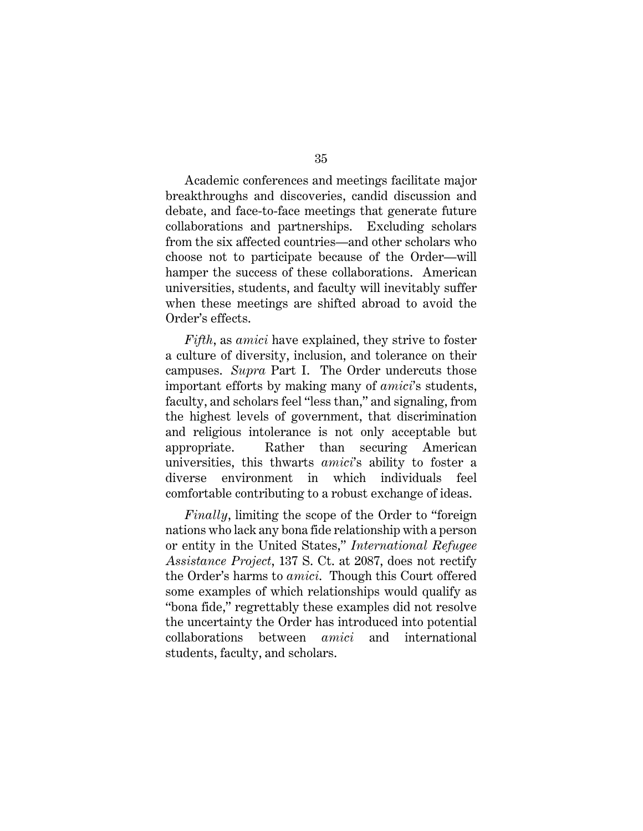Academic conferences and meetings facilitate major breakthroughs and discoveries, candid discussion and debate, and face-to-face meetings that generate future collaborations and partnerships. Excluding scholars from the six affected countries—and other scholars who choose not to participate because of the Order—will hamper the success of these collaborations. American universities, students, and faculty will inevitably suffer when these meetings are shifted abroad to avoid the Order's effects.

*Fifth*, as *amici* have explained, they strive to foster a culture of diversity, inclusion, and tolerance on their campuses. *Supra* Part I. The Order undercuts those important efforts by making many of *amici*'s students, faculty, and scholars feel "less than," and signaling, from the highest levels of government, that discrimination and religious intolerance is not only acceptable but appropriate. Rather than securing American universities, this thwarts *amici*'s ability to foster a diverse environment in which individuals feel comfortable contributing to a robust exchange of ideas.

*Finally*, limiting the scope of the Order to "foreign nations who lack any bona fide relationship with a person or entity in the United States," *International Refugee Assistance Project*, 137 S. Ct. at 2087, does not rectify the Order's harms to *amici*. Though this Court offered some examples of which relationships would qualify as "bona fide," regrettably these examples did not resolve the uncertainty the Order has introduced into potential collaborations between *amici* and international students, faculty, and scholars.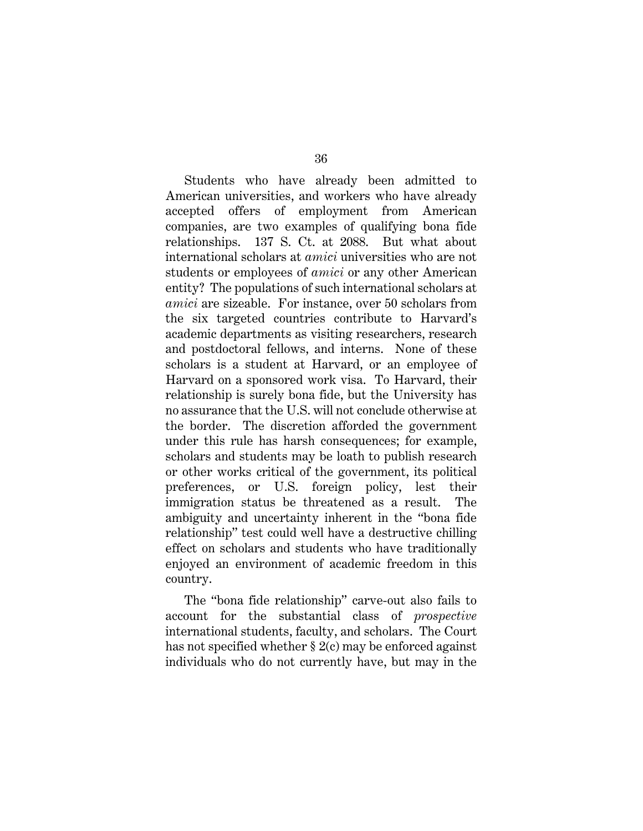Students who have already been admitted to American universities, and workers who have already accepted offers of employment from American companies, are two examples of qualifying bona fide relationships. 137 S. Ct. at 2088. But what about international scholars at *amici* universities who are not students or employees of *amici* or any other American entity? The populations of such international scholars at *amici* are sizeable. For instance, over 50 scholars from the six targeted countries contribute to Harvard's academic departments as visiting researchers, research and postdoctoral fellows, and interns. None of these scholars is a student at Harvard, or an employee of Harvard on a sponsored work visa. To Harvard, their relationship is surely bona fide, but the University has no assurance that the U.S. will not conclude otherwise at the border. The discretion afforded the government under this rule has harsh consequences; for example, scholars and students may be loath to publish research or other works critical of the government, its political preferences, or U.S. foreign policy, lest their immigration status be threatened as a result. The ambiguity and uncertainty inherent in the "bona fide relationship" test could well have a destructive chilling effect on scholars and students who have traditionally enjoyed an environment of academic freedom in this country.

The "bona fide relationship" carve-out also fails to account for the substantial class of *prospective*  international students, faculty, and scholars. The Court has not specified whether § 2(c) may be enforced against individuals who do not currently have, but may in the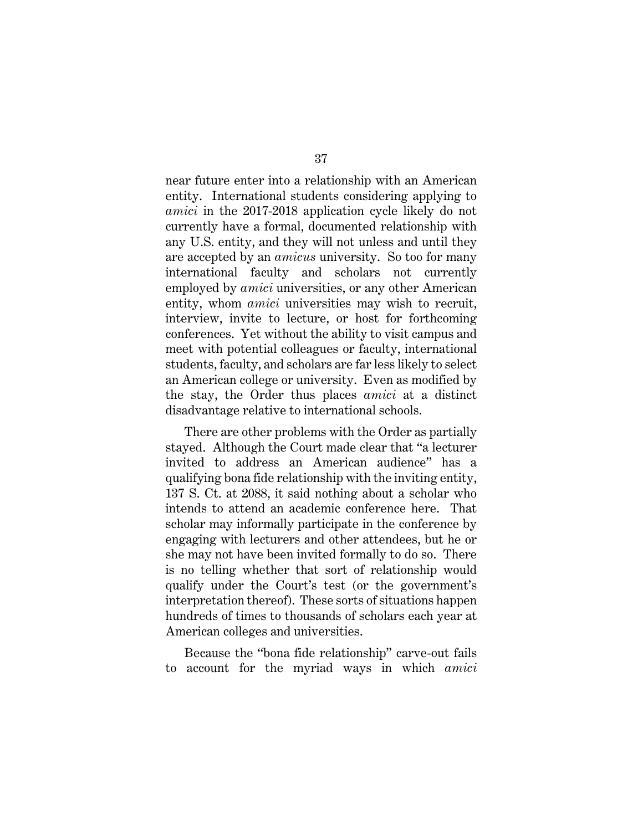near future enter into a relationship with an American entity. International students considering applying to *amici* in the 2017-2018 application cycle likely do not currently have a formal, documented relationship with any U.S. entity, and they will not unless and until they are accepted by an *amicus* university. So too for many international faculty and scholars not currently employed by *amici* universities, or any other American entity, whom *amici* universities may wish to recruit, interview, invite to lecture, or host for forthcoming conferences. Yet without the ability to visit campus and meet with potential colleagues or faculty, international students, faculty, and scholars are far less likely to select an American college or university. Even as modified by the stay, the Order thus places *amici* at a distinct disadvantage relative to international schools.

There are other problems with the Order as partially stayed. Although the Court made clear that "a lecturer invited to address an American audience" has a qualifying bona fide relationship with the inviting entity, 137 S. Ct. at 2088, it said nothing about a scholar who intends to attend an academic conference here. That scholar may informally participate in the conference by engaging with lecturers and other attendees, but he or she may not have been invited formally to do so. There is no telling whether that sort of relationship would qualify under the Court's test (or the government's interpretation thereof). These sorts of situations happen hundreds of times to thousands of scholars each year at American colleges and universities.

Because the "bona fide relationship" carve-out fails to account for the myriad ways in which *amici*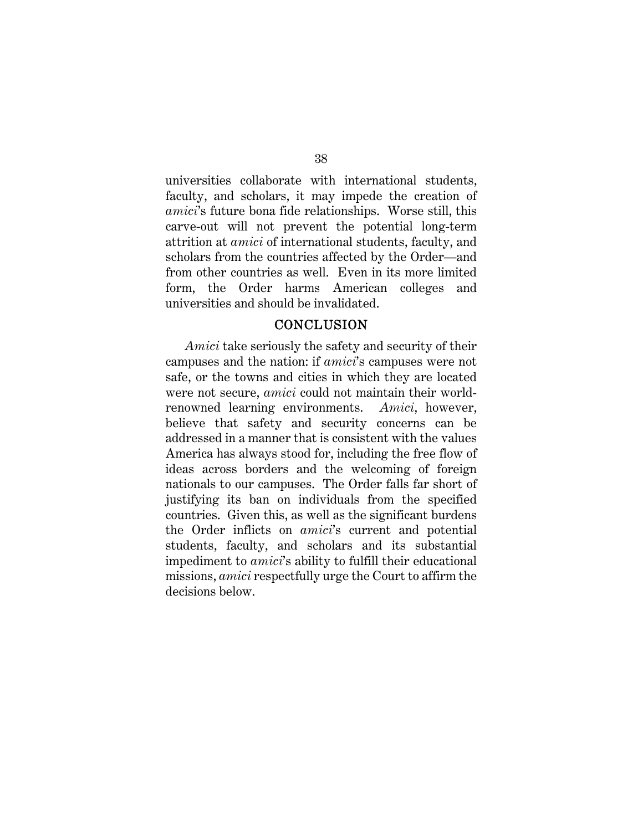universities collaborate with international students, faculty, and scholars, it may impede the creation of *amici*'s future bona fide relationships. Worse still, this carve-out will not prevent the potential long-term attrition at *amici* of international students, faculty, and scholars from the countries affected by the Order—and from other countries as well. Even in its more limited form, the Order harms American colleges and universities and should be invalidated.

#### **CONCLUSION**

*Amici* take seriously the safety and security of their campuses and the nation: if *amici*'s campuses were not safe, or the towns and cities in which they are located were not secure, *amici* could not maintain their worldrenowned learning environments. *Amici*, however, believe that safety and security concerns can be addressed in a manner that is consistent with the values America has always stood for, including the free flow of ideas across borders and the welcoming of foreign nationals to our campuses. The Order falls far short of justifying its ban on individuals from the specified countries. Given this, as well as the significant burdens the Order inflicts on *amici*'s current and potential students, faculty, and scholars and its substantial impediment to *amici*'s ability to fulfill their educational missions, *amici* respectfully urge the Court to affirm the decisions below.